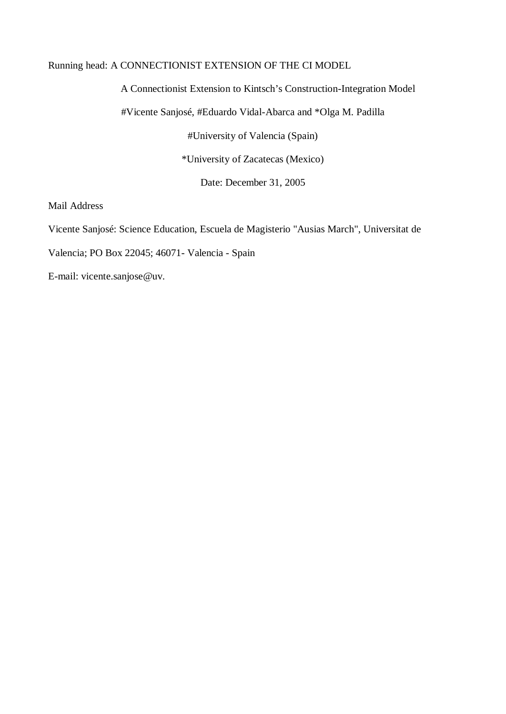# Running head: A CONNECTIONIST EXTENSION OF THE CI MODEL

A Connectionist Extension to Kintsch's Construction-Integration Model

#Vicente Sanjosé, #Eduardo Vidal-Abarca and \*Olga M. Padilla

#University of Valencia (Spain)

\*University of Zacatecas (Mexico)

Date: December 31, 2005

Mail Address

Vicente Sanjosé: Science Education, Escuela de Magisterio "Ausias March", Universitat de

Valencia; PO Box 22045; 46071- Valencia - Spain

E-mail: vicente.sanjose@uv.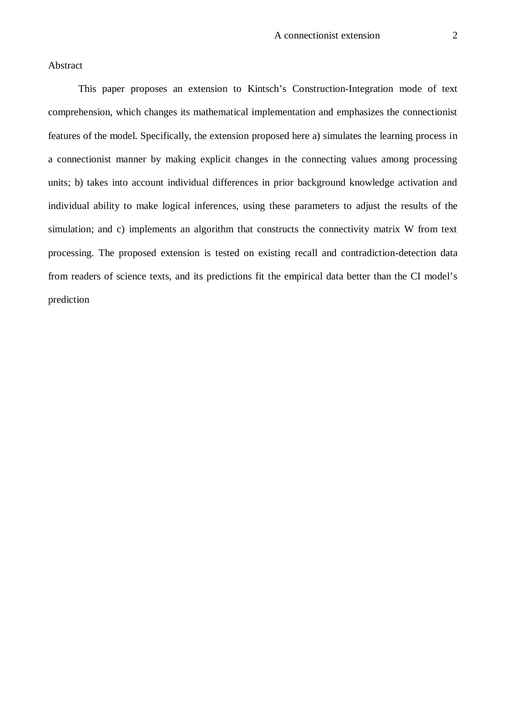# Abstract

This paper proposes an extension to Kintsch's Construction-Integration mode of text comprehension, which changes its mathematical implementation and emphasizes the connectionist features of the model. Specifically, the extension proposed here a) simulates the learning process in a connectionist manner by making explicit changes in the connecting values among processing units; b) takes into account individual differences in prior background knowledge activation and individual ability to make logical inferences, using these parameters to adjust the results of the simulation; and c) implements an algorithm that constructs the connectivity matrix W from text processing. The proposed extension is tested on existing recall and contradiction-detection data from readers of science texts, and its predictions fit the empirical data better than the CI model's prediction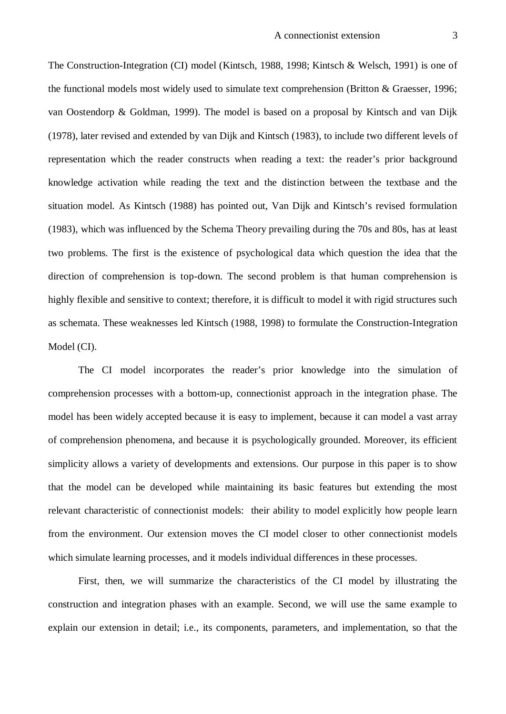The Construction-Integration (CI) model (Kintsch, 1988, 1998; Kintsch & Welsch, 1991) is one of the functional models most widely used to simulate text comprehension (Britton & Graesser, 1996; van Oostendorp & Goldman, 1999). The model is based on a proposal by Kintsch and van Dijk (1978), later revised and extended by van Dijk and Kintsch (1983), to include two different levels of representation which the reader constructs when reading a text: the reader's prior background knowledge activation while reading the text and the distinction between the textbase and the situation model. As Kintsch (1988) has pointed out, Van Dijk and Kintsch's revised formulation (1983), which was influenced by the Schema Theory prevailing during the 70s and 80s, has at least two problems. The first is the existence of psychological data which question the idea that the direction of comprehension is top-down. The second problem is that human comprehension is highly flexible and sensitive to context; therefore, it is difficult to model it with rigid structures such as schemata. These weaknesses led Kintsch (1988, 1998) to formulate the Construction-Integration Model (CI).

The CI model incorporates the reader's prior knowledge into the simulation of comprehension processes with a bottom-up, connectionist approach in the integration phase. The model has been widely accepted because it is easy to implement, because it can model a vast array of comprehension phenomena, and because it is psychologically grounded. Moreover, its efficient simplicity allows a variety of developments and extensions. Our purpose in this paper is to show that the model can be developed while maintaining its basic features but extending the most relevant characteristic of connectionist models: their ability to model explicitly how people learn from the environment. Our extension moves the CI model closer to other connectionist models which simulate learning processes, and it models individual differences in these processes.

First, then, we will summarize the characteristics of the CI model by illustrating the construction and integration phases with an example. Second, we will use the same example to explain our extension in detail; i.e., its components, parameters, and implementation, so that the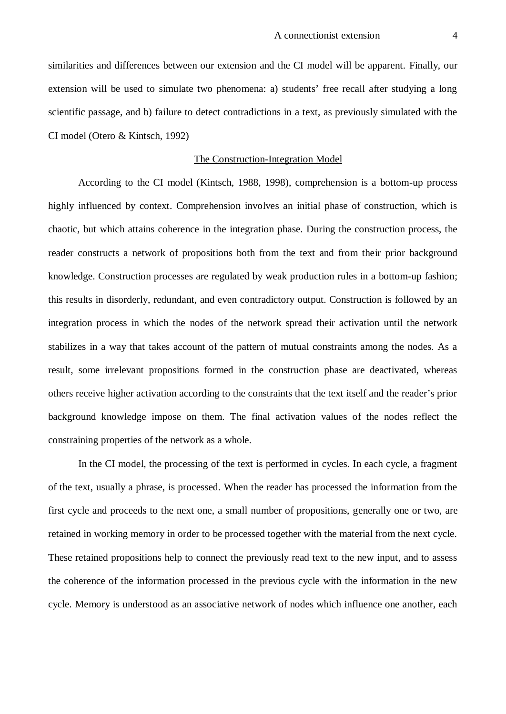similarities and differences between our extension and the CI model will be apparent. Finally, our extension will be used to simulate two phenomena: a) students' free recall after studying a long scientific passage, and b) failure to detect contradictions in a text, as previously simulated with the CI model (Otero & Kintsch, 1992)

# The Construction-Integration Model

According to the CI model (Kintsch, 1988, 1998), comprehension is a bottom-up process highly influenced by context. Comprehension involves an initial phase of construction, which is chaotic, but which attains coherence in the integration phase. During the construction process, the reader constructs a network of propositions both from the text and from their prior background knowledge. Construction processes are regulated by weak production rules in a bottom-up fashion; this results in disorderly, redundant, and even contradictory output. Construction is followed by an integration process in which the nodes of the network spread their activation until the network stabilizes in a way that takes account of the pattern of mutual constraints among the nodes. As a result, some irrelevant propositions formed in the construction phase are deactivated, whereas others receive higher activation according to the constraints that the text itself and the reader's prior background knowledge impose on them. The final activation values of the nodes reflect the constraining properties of the network as a whole.

In the CI model, the processing of the text is performed in cycles. In each cycle, a fragment of the text, usually a phrase, is processed. When the reader has processed the information from the first cycle and proceeds to the next one, a small number of propositions, generally one or two, are retained in working memory in order to be processed together with the material from the next cycle. These retained propositions help to connect the previously read text to the new input, and to assess the coherence of the information processed in the previous cycle with the information in the new cycle. Memory is understood as an associative network of nodes which influence one another, each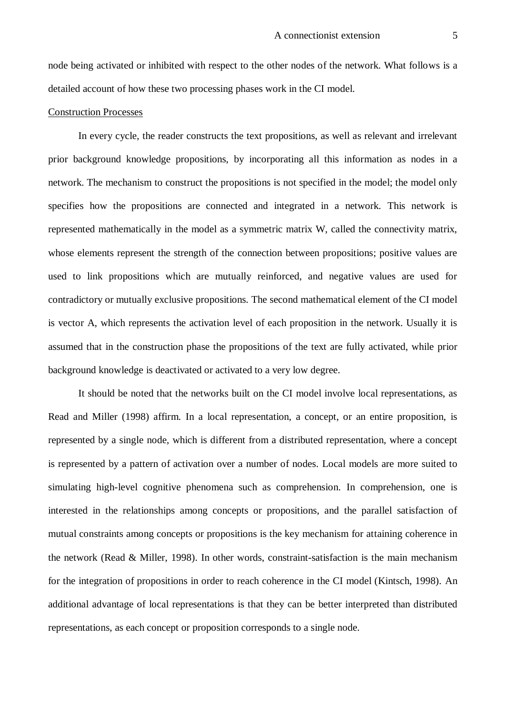node being activated or inhibited with respect to the other nodes of the network. What follows is a detailed account of how these two processing phases work in the CI model.

#### Construction Processes

In every cycle, the reader constructs the text propositions, as well as relevant and irrelevant prior background knowledge propositions, by incorporating all this information as nodes in a network. The mechanism to construct the propositions is not specified in the model; the model only specifies how the propositions are connected and integrated in a network. This network is represented mathematically in the model as a symmetric matrix W, called the connectivity matrix, whose elements represent the strength of the connection between propositions; positive values are used to link propositions which are mutually reinforced, and negative values are used for contradictory or mutually exclusive propositions. The second mathematical element of the CI model is vector A, which represents the activation level of each proposition in the network. Usually it is assumed that in the construction phase the propositions of the text are fully activated, while prior background knowledge is deactivated or activated to a very low degree.

It should be noted that the networks built on the CI model involve local representations, as Read and Miller (1998) affirm. In a local representation, a concept, or an entire proposition, is represented by a single node, which is different from a distributed representation, where a concept is represented by a pattern of activation over a number of nodes. Local models are more suited to simulating high-level cognitive phenomena such as comprehension. In comprehension, one is interested in the relationships among concepts or propositions, and the parallel satisfaction of mutual constraints among concepts or propositions is the key mechanism for attaining coherence in the network (Read & Miller, 1998). In other words, constraint-satisfaction is the main mechanism for the integration of propositions in order to reach coherence in the CI model (Kintsch, 1998). An additional advantage of local representations is that they can be better interpreted than distributed representations, as each concept or proposition corresponds to a single node.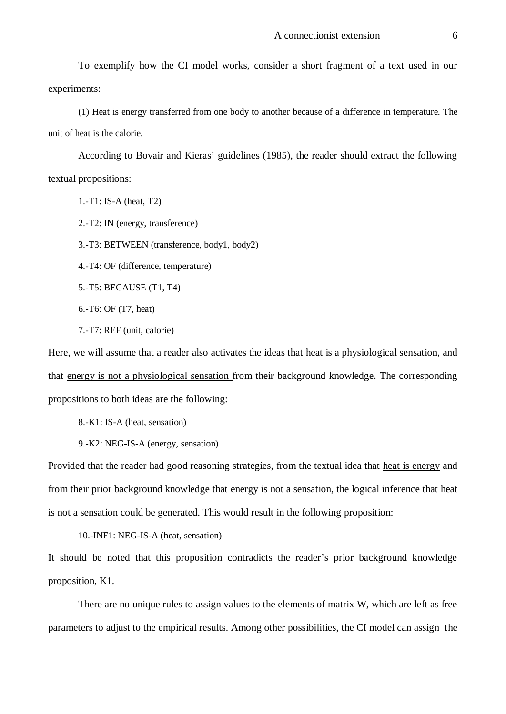To exemplify how the CI model works, consider a short fragment of a text used in our experiments:

(1) Heat is energy transferred from one body to another because of a difference in temperature. The unit of heat is the calorie.

According to Bovair and Kieras' guidelines (1985), the reader should extract the following textual propositions:

1.-T1: IS-A (heat, T2)

2.-T2: IN (energy, transference)

3.-T3: BETWEEN (transference, body1, body2)

4.-T4: OF (difference, temperature)

5.-T5: BECAUSE (T1, T4)

6.-T6: OF (T7, heat)

7.-T7: REF (unit, calorie)

Here, we will assume that a reader also activates the ideas that heat is a physiological sensation, and that energy is not a physiological sensation from their background knowledge. The corresponding propositions to both ideas are the following:

8.-K1: IS-A (heat, sensation)

9.-K2: NEG-IS-A (energy, sensation)

Provided that the reader had good reasoning strategies, from the textual idea that heat is energy and from their prior background knowledge that energy is not a sensation, the logical inference that heat is not a sensation could be generated. This would result in the following proposition:

10.-INF1: NEG-IS-A (heat, sensation)

It should be noted that this proposition contradicts the reader's prior background knowledge proposition, K1.

There are no unique rules to assign values to the elements of matrix W, which are left as free parameters to adjust to the empirical results. Among other possibilities, the CI model can assign the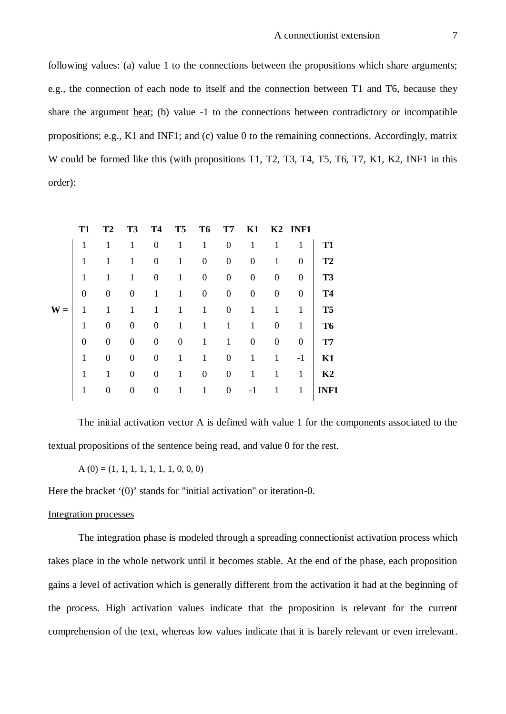following values: (a) value 1 to the connections between the propositions which share arguments; e.g., the connection of each node to itself and the connection between T1 and T6, because they share the argument heat; (b) value -1 to the connections between contradictory or incompatible propositions; e.g., K1 and INF1; and (c) value 0 to the remaining connections. Accordingly, matrix W could be formed like this (with propositions T1, T2, T3, T4, T5, T6, T7, K1, K2, INF1 in this order):

|       | <b>T1</b>      | T <sub>2</sub>   | T <sub>3</sub>   | <b>T4</b>        | T <sub>5</sub>   | T <sub>6</sub>   | T <sub>7</sub>   | K1               |                  | K <sub>2</sub> INF <sub>1</sub> |                |
|-------|----------------|------------------|------------------|------------------|------------------|------------------|------------------|------------------|------------------|---------------------------------|----------------|
|       | 1              | 1                | 1                | $\boldsymbol{0}$ | 1                | 1                | $\boldsymbol{0}$ | 1                | 1                | 1                               | <b>T1</b>      |
|       | 1              | 1                | 1                | $\boldsymbol{0}$ | 1                | $\boldsymbol{0}$ | $\boldsymbol{0}$ | $\boldsymbol{0}$ | 1                | $\Omega$                        | T2             |
|       | 1              | 1                | 1                | $\boldsymbol{0}$ | 1                | $\boldsymbol{0}$ | $\boldsymbol{0}$ | 0                | $\theta$         | $\Omega$                        | T <sub>3</sub> |
|       | $\overline{0}$ | $\boldsymbol{0}$ | $\boldsymbol{0}$ | 1                | 1                | $\boldsymbol{0}$ | $\boldsymbol{0}$ | 0                | $\boldsymbol{0}$ | $\overline{0}$                  | <b>T4</b>      |
| $W =$ | 1              | 1                | 1                | 1                | 1                | 1                | $\boldsymbol{0}$ | 1                | 1                | 1                               | T <sub>5</sub> |
|       | 1              | $\boldsymbol{0}$ | $\boldsymbol{0}$ | $\boldsymbol{0}$ | $\mathbf{1}$     | 1                | 1                | 1                | $\overline{0}$   | 1                               | T <sub>6</sub> |
|       | $\theta$       | $\theta$         | $\boldsymbol{0}$ | $\boldsymbol{0}$ | $\boldsymbol{0}$ | 1                | 1                | $\boldsymbol{0}$ | $\boldsymbol{0}$ | $\boldsymbol{0}$                | T7             |
|       | 1              | $\theta$         | $\boldsymbol{0}$ | $\boldsymbol{0}$ | $\mathbf{1}$     | 1                | $\boldsymbol{0}$ | 1                | 1                | $-1$                            | K1             |
|       | 1              | 1                | $\overline{0}$   | $\boldsymbol{0}$ | 1                | $\boldsymbol{0}$ | $\boldsymbol{0}$ | 1                | 1                | 1                               | K <sub>2</sub> |
|       | 1              | $\theta$         | $\boldsymbol{0}$ | 0                | 1                | 1                | $\boldsymbol{0}$ | -1               |                  | 1                               | <b>INF1</b>    |
|       |                |                  |                  |                  |                  |                  |                  |                  |                  |                                 |                |

The initial activation vector A is defined with value 1 for the components associated to the textual propositions of the sentence being read, and value 0 for the rest.

 $A(0) = (1, 1, 1, 1, 1, 1, 1, 0, 0, 0)$ 

Here the bracket '(0)' stands for "initial activation" or iteration-0.

# Integration processes

The integration phase is modeled through a spreading connectionist activation process which takes place in the whole network until it becomes stable. At the end of the phase, each proposition gains a level of activation which is generally different from the activation it had at the beginning of the process. High activation values indicate that the proposition is relevant for the current comprehension of the text, whereas low values indicate that it is barely relevant or even irrelevant.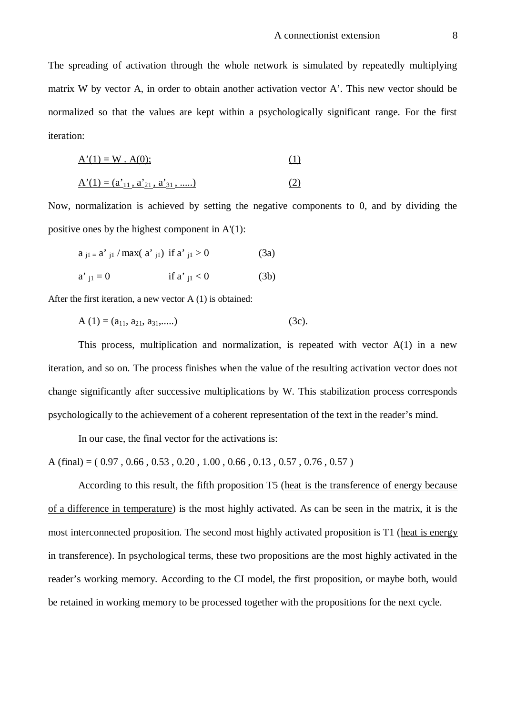The spreading of activation through the whole network is simulated by repeatedly multiplying matrix W by vector A, in order to obtain another activation vector A'. This new vector should be normalized so that the values are kept within a psychologically significant range. For the first iteration:

$$
A'(1) = W \cdot A(0); \tag{1}
$$

$$
\underline{A'}(1) = (\underline{a'}_{11}, \underline{a'}_{21}, \underline{a'}_{31}, \dots)
$$
 (2)

Now, normalization is achieved by setting the negative components to 0, and by dividing the positive ones by the highest component in A'(1):

$$
a_{j1} = a'_{j1} / max(a'_{j1}) \text{ if } a'_{j1} > 0 \tag{3a}
$$

a' j1 = 0 if a' j1 < 0 (3b)

After the first iteration, a new vector A (1) is obtained:

$$
A(1) = (a_{11}, a_{21}, a_{31}, ....)
$$
 (3c).

This process, multiplication and normalization, is repeated with vector A(1) in a new iteration, and so on. The process finishes when the value of the resulting activation vector does not change significantly after successive multiplications by W. This stabilization process corresponds psychologically to the achievement of a coherent representation of the text in the reader's mind.

In our case, the final vector for the activations is:

A (final) =  $(0.97, 0.66, 0.53, 0.20, 1.00, 0.66, 0.13, 0.57, 0.76, 0.57)$ 

According to this result, the fifth proposition T5 (heat is the transference of energy because of a difference in temperature) is the most highly activated. As can be seen in the matrix, it is the most interconnected proposition. The second most highly activated proposition is T1 (heat is energy in transference). In psychological terms, these two propositions are the most highly activated in the reader's working memory. According to the CI model, the first proposition, or maybe both, would be retained in working memory to be processed together with the propositions for the next cycle.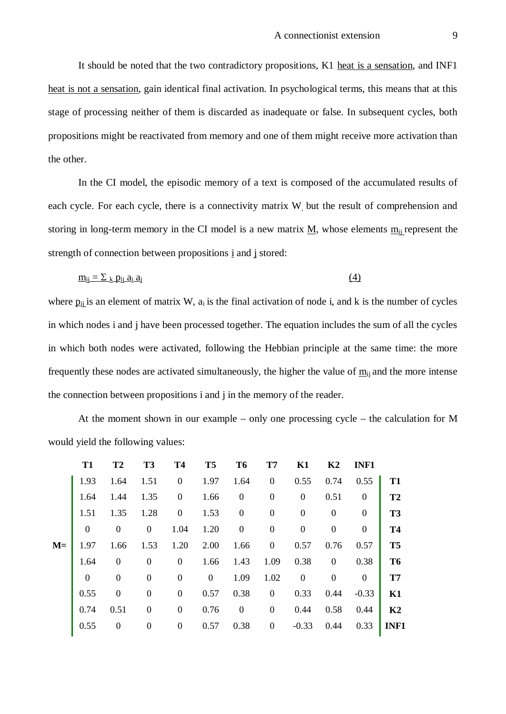It should be noted that the two contradictory propositions, K1 heat is a sensation, and INF1 heat is not a sensation, gain identical final activation. In psychological terms, this means that at this stage of processing neither of them is discarded as inadequate or false. In subsequent cycles, both propositions might be reactivated from memory and one of them might receive more activation than the other.

In the CI model, the episodic memory of a text is composed of the accumulated results of each cycle. For each cycle, there is a connectivity matrix W, but the result of comprehension and storing in long-term memory in the CI model is a new matrix  $M$ , whose elements  $m_{ii}$  represent the strength of connection between propositions i and j stored:

$$
\underline{\mathbf{m}}_{ij} = \sum_{k} \underline{\mathbf{p}}_{ij} \underline{\mathbf{a}}_{i} \underline{\mathbf{a}}_{j} \tag{4}
$$

where  $p_{ii}$  is an element of matrix W,  $a_i$  is the final activation of node i, and k is the number of cycles in which nodes i and j have been processed together. The equation includes the sum of all the cycles in which both nodes were activated, following the Hebbian principle at the same time: the more frequently these nodes are activated simultaneously, the higher the value of  $m_{ii}$  and the more intense the connection between propositions i and j in the memory of the reader.

At the moment shown in our example – only one processing cycle – the calculation for M would yield the following values:

|      | T <sub>1</sub> | T <sub>2</sub>   | T <sub>3</sub>   | <b>T4</b>        | T <sub>5</sub> | T <sub>6</sub>   | T <sub>7</sub>   | K1               | K2               | <b>INF1</b>      |                |
|------|----------------|------------------|------------------|------------------|----------------|------------------|------------------|------------------|------------------|------------------|----------------|
|      | 1.93           | 1.64             | 1.51             | $\mathbf{0}$     | 1.97           | 1.64             | $\mathbf{0}$     | 0.55             | 0.74             | 0.55             | T <sub>1</sub> |
|      | 1.64           | 1.44             | 1.35             | $\mathbf{0}$     | 1.66           | $\boldsymbol{0}$ | $\overline{0}$   | $\overline{0}$   | 0.51             | $\boldsymbol{0}$ | T <sub>2</sub> |
|      | 1.51           | 1.35             | 1.28             | $\boldsymbol{0}$ | 1.53           | $\boldsymbol{0}$ | $\boldsymbol{0}$ | $\boldsymbol{0}$ | $\boldsymbol{0}$ | $\boldsymbol{0}$ | T <sub>3</sub> |
|      | $\mathbf{0}$   | $\boldsymbol{0}$ | $\boldsymbol{0}$ | 1.04             | 1.20           | $\boldsymbol{0}$ | $\mathbf{0}$     | $\boldsymbol{0}$ | $\boldsymbol{0}$ | $\boldsymbol{0}$ | <b>T4</b>      |
| $M=$ | 1.97           | 1.66             | 1.53             | 1.20             | 2.00           | 1.66             | $\mathbf{0}$     | 0.57             | 0.76             | 0.57             | T <sub>5</sub> |
|      | 1.64           | $\overline{0}$   | $\boldsymbol{0}$ | $\boldsymbol{0}$ | 1.66           | 1.43             | 1.09             | 0.38             | $\boldsymbol{0}$ | 0.38             | T <sub>6</sub> |
|      | $\overline{0}$ | $\boldsymbol{0}$ | $\boldsymbol{0}$ | $\boldsymbol{0}$ | $\overline{0}$ | 1.09             | 1.02             | $\boldsymbol{0}$ | $\boldsymbol{0}$ | $\boldsymbol{0}$ | T <sub>7</sub> |
|      | 0.55           | $\mathbf{0}$     | $\boldsymbol{0}$ | $\boldsymbol{0}$ | 0.57           | 0.38             | $\mathbf{0}$     | 0.33             | 0.44             | $-0.33$          | K1             |
|      | 0.74           | 0.51             | $\boldsymbol{0}$ | $\boldsymbol{0}$ | 0.76           | $\mathbf{0}$     | $\mathbf{0}$     | 0.44             | 0.58             | 0.44             | K <sub>2</sub> |
|      | 0.55           | $\boldsymbol{0}$ | $\boldsymbol{0}$ | $\overline{0}$   | 0.57           | 0.38             | $\mathbf{0}$     | $-0.33$          | 0.44             | 0.33             | INF1           |
|      |                |                  |                  |                  |                |                  |                  |                  |                  |                  |                |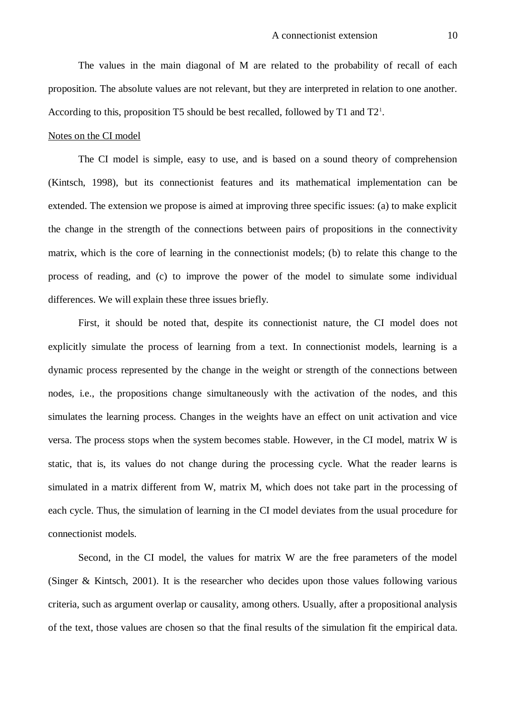The values in the main diagonal of M are related to the probability of recall of each proposition. The absolute values are not relevant, but they are interpreted in relation to one another. According to this, proposition T5 should be best recalled, followed by T1 and T2<sup>1</sup>.

#### Notes on the CI model

The CI model is simple, easy to use, and is based on a sound theory of comprehension (Kintsch, 1998), but its connectionist features and its mathematical implementation can be extended. The extension we propose is aimed at improving three specific issues: (a) to make explicit the change in the strength of the connections between pairs of propositions in the connectivity matrix, which is the core of learning in the connectionist models; (b) to relate this change to the process of reading, and (c) to improve the power of the model to simulate some individual differences. We will explain these three issues briefly.

First, it should be noted that, despite its connectionist nature, the CI model does not explicitly simulate the process of learning from a text. In connectionist models, learning is a dynamic process represented by the change in the weight or strength of the connections between nodes, i.e., the propositions change simultaneously with the activation of the nodes, and this simulates the learning process. Changes in the weights have an effect on unit activation and vice versa. The process stops when the system becomes stable. However, in the CI model, matrix W is static, that is, its values do not change during the processing cycle. What the reader learns is simulated in a matrix different from W, matrix M, which does not take part in the processing of each cycle. Thus, the simulation of learning in the CI model deviates from the usual procedure for connectionist models.

Second, in the CI model, the values for matrix W are the free parameters of the model (Singer & Kintsch, 2001). It is the researcher who decides upon those values following various criteria, such as argument overlap or causality, among others. Usually, after a propositional analysis of the text, those values are chosen so that the final results of the simulation fit the empirical data.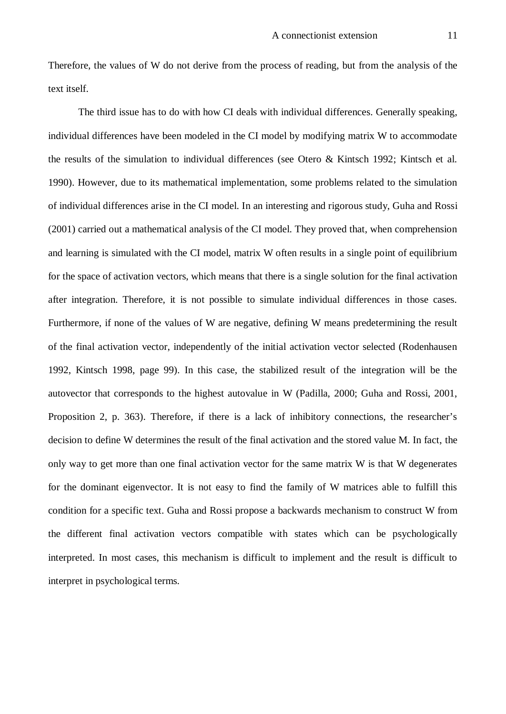Therefore, the values of W do not derive from the process of reading, but from the analysis of the text itself.

The third issue has to do with how CI deals with individual differences. Generally speaking, individual differences have been modeled in the CI model by modifying matrix W to accommodate the results of the simulation to individual differences (see Otero & Kintsch 1992; Kintsch et al. 1990). However, due to its mathematical implementation, some problems related to the simulation of individual differences arise in the CI model. In an interesting and rigorous study, Guha and Rossi (2001) carried out a mathematical analysis of the CI model. They proved that, when comprehension and learning is simulated with the CI model, matrix W often results in a single point of equilibrium for the space of activation vectors, which means that there is a single solution for the final activation after integration. Therefore, it is not possible to simulate individual differences in those cases. Furthermore, if none of the values of W are negative, defining W means predetermining the result of the final activation vector, independently of the initial activation vector selected (Rodenhausen 1992, Kintsch 1998, page 99). In this case, the stabilized result of the integration will be the autovector that corresponds to the highest autovalue in W (Padilla, 2000; Guha and Rossi, 2001, Proposition 2, p. 363). Therefore, if there is a lack of inhibitory connections, the researcher's decision to define W determines the result of the final activation and the stored value M. In fact, the only way to get more than one final activation vector for the same matrix W is that W degenerates for the dominant eigenvector. It is not easy to find the family of W matrices able to fulfill this condition for a specific text. Guha and Rossi propose a backwards mechanism to construct W from the different final activation vectors compatible with states which can be psychologically interpreted. In most cases, this mechanism is difficult to implement and the result is difficult to interpret in psychological terms.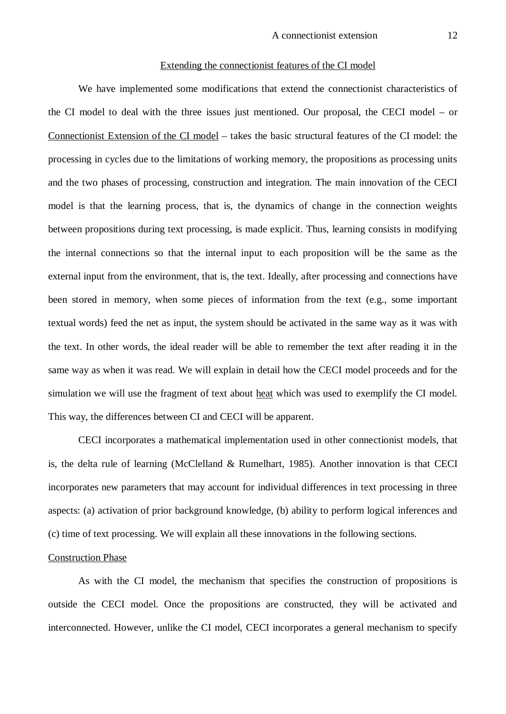#### Extending the connectionist features of the CI model

We have implemented some modifications that extend the connectionist characteristics of the CI model to deal with the three issues just mentioned. Our proposal, the CECI model – or Connectionist Extension of the CI model – takes the basic structural features of the CI model: the processing in cycles due to the limitations of working memory, the propositions as processing units and the two phases of processing, construction and integration. The main innovation of the CECI model is that the learning process, that is, the dynamics of change in the connection weights between propositions during text processing, is made explicit. Thus, learning consists in modifying the internal connections so that the internal input to each proposition will be the same as the external input from the environment, that is, the text. Ideally, after processing and connections have been stored in memory, when some pieces of information from the text (e.g., some important textual words) feed the net as input, the system should be activated in the same way as it was with the text. In other words, the ideal reader will be able to remember the text after reading it in the same way as when it was read. We will explain in detail how the CECI model proceeds and for the simulation we will use the fragment of text about heat which was used to exemplify the CI model. This way, the differences between CI and CECI will be apparent.

CECI incorporates a mathematical implementation used in other connectionist models, that is, the delta rule of learning (McClelland & Rumelhart, 1985). Another innovation is that CECI incorporates new parameters that may account for individual differences in text processing in three aspects: (a) activation of prior background knowledge, (b) ability to perform logical inferences and (c) time of text processing. We will explain all these innovations in the following sections.

#### Construction Phase

As with the CI model, the mechanism that specifies the construction of propositions is outside the CECI model. Once the propositions are constructed, they will be activated and interconnected. However, unlike the CI model, CECI incorporates a general mechanism to specify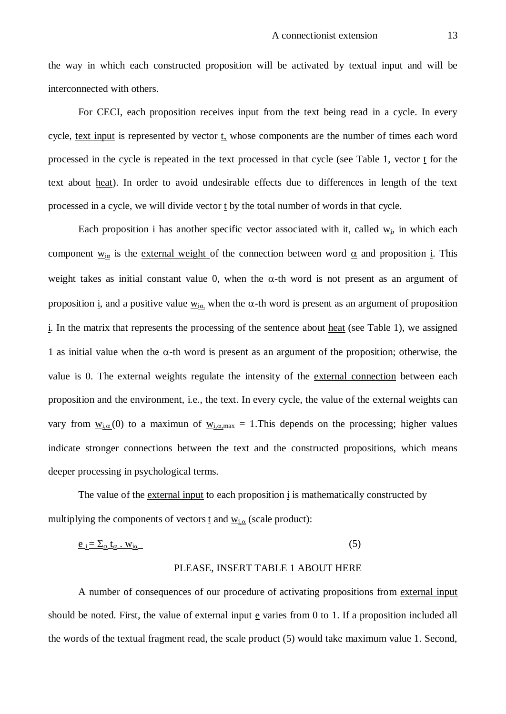the way in which each constructed proposition will be activated by textual input and will be interconnected with others.

For CECI, each proposition receives input from the text being read in a cycle. In every cycle, text input is represented by vector t, whose components are the number of times each word processed in the cycle is repeated in the text processed in that cycle (see Table 1, vector t for the text about heat). In order to avoid undesirable effects due to differences in length of the text processed in a cycle, we will divide vector t by the total number of words in that cycle.

Each proposition  $\underline{i}$  has another specific vector associated with it, called  $\underline{w_i}$ , in which each component  $\underline{w_{i\alpha}}$  is the external weight of the connection between word  $\underline{\alpha}$  and proposition i. This weight takes as initial constant value 0, when the  $\alpha$ -th word is not present as an argument of proposition i, and a positive value  $\underline{w_{i\alpha}}$ , when the  $\alpha$ -th word is present as an argument of proposition i. In the matrix that represents the processing of the sentence about heat (see Table 1), we assigned 1 as initial value when the  $\alpha$ -th word is present as an argument of the proposition; otherwise, the value is 0. The external weights regulate the intensity of the external connection between each proposition and the environment, i.e., the text. In every cycle, the value of the external weights can vary from  $\underline{w_{i,\alpha}}(0)$  to a maximun of  $\underline{w_{i,\alpha,max}} = 1$ . This depends on the processing; higher values indicate stronger connections between the text and the constructed propositions, which means deeper processing in psychological terms.

The value of the external input to each proposition  $\frac{1}{2}$  is mathematically constructed by multiplying the components of vectors  $\underline{t}$  and  $\underline{w_{i,\alpha}}$  (scale product):

$$
\underline{e_i} = \sum_{\alpha} \underline{t_{\alpha}} \cdot \underline{w_{i\alpha}} \tag{5}
$$

# PLEASE, INSERT TABLE 1 ABOUT HERE

A number of consequences of our procedure of activating propositions from external input should be noted. First, the value of external input  $\epsilon$  varies from 0 to 1. If a proposition included all the words of the textual fragment read, the scale product (5) would take maximum value 1. Second,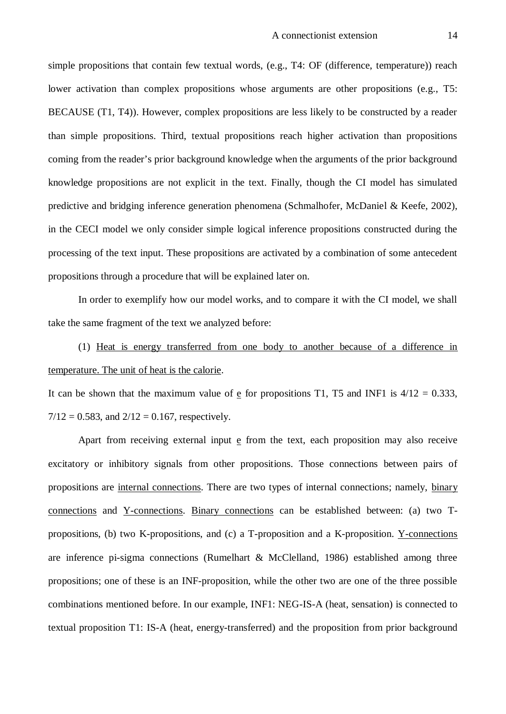simple propositions that contain few textual words, (e.g., T4: OF (difference, temperature)) reach lower activation than complex propositions whose arguments are other propositions (e.g., T5: BECAUSE (T1, T4)). However, complex propositions are less likely to be constructed by a reader than simple propositions. Third, textual propositions reach higher activation than propositions coming from the reader's prior background knowledge when the arguments of the prior background knowledge propositions are not explicit in the text. Finally, though the CI model has simulated predictive and bridging inference generation phenomena (Schmalhofer, McDaniel & Keefe, 2002), in the CECI model we only consider simple logical inference propositions constructed during the processing of the text input. These propositions are activated by a combination of some antecedent propositions through a procedure that will be explained later on.

In order to exemplify how our model works, and to compare it with the CI model, we shall take the same fragment of the text we analyzed before:

(1) Heat is energy transferred from one body to another because of a difference in temperature. The unit of heat is the calorie.

It can be shown that the maximum value of e for propositions T1, T5 and INF1 is  $4/12 = 0.333$ ,  $7/12 = 0.583$ , and  $2/12 = 0.167$ , respectively.

Apart from receiving external input  $\epsilon$  from the text, each proposition may also receive excitatory or inhibitory signals from other propositions. Those connections between pairs of propositions are internal connections. There are two types of internal connections; namely, binary connections and Y-connections. Binary connections can be established between: (a) two Tpropositions, (b) two K-propositions, and (c) a T-proposition and a K-proposition. Y-connections are inference pi-sigma connections (Rumelhart & McClelland, 1986) established among three propositions; one of these is an INF-proposition, while the other two are one of the three possible combinations mentioned before. In our example, INF1: NEG-IS-A (heat, sensation) is connected to textual proposition T1: IS-A (heat, energy-transferred) and the proposition from prior background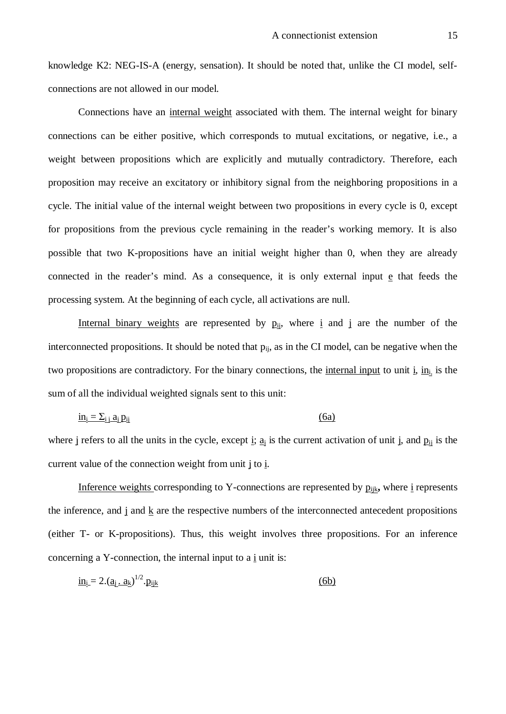knowledge K2: NEG-IS-A (energy, sensation). It should be noted that, unlike the CI model, selfconnections are not allowed in our model.

Connections have an internal weight associated with them. The internal weight for binary connections can be either positive, which corresponds to mutual excitations, or negative, i.e., a weight between propositions which are explicitly and mutually contradictory. Therefore, each proposition may receive an excitatory or inhibitory signal from the neighboring propositions in a cycle. The initial value of the internal weight between two propositions in every cycle is 0, except for propositions from the previous cycle remaining in the reader's working memory. It is also possible that two K-propositions have an initial weight higher than 0, when they are already connected in the reader's mind. As a consequence, it is only external input e that feeds the processing system. At the beginning of each cycle, all activations are null.

Internal binary weights are represented by  $p_{ij}$ , where i and j are the number of the interconnected propositions. It should be noted that  $p_{ij}$ , as in the CI model, can be negative when the two propositions are contradictory. For the binary connections, the internal input to unit  $\underline{i}$ ,  $\underline{i}$  is the sum of all the individual weighted signals sent to this unit:

$$
\underline{\mathbf{in}}_i = \sum_{i,j} a_j \underline{\mathbf{p}}_{ij} \tag{6a}
$$

where j refers to all the units in the cycle, except i;  $\underline{a}_i$  is the current activation of unit j, and  $\underline{p}_{ij}$  is the current value of the connection weight from unit j to i.

Inference weights corresponding to Y-connections are represented by  $p_{ijk}$ , where i represents the inference, and j and k are the respective numbers of the interconnected antecedent propositions (either T- or K-propositions). Thus, this weight involves three propositions. For an inference concerning a Y-connection, the internal input to a  $\frac{1}{2}$  unit is:

$$
\underline{\mathbf{in}}_1 = 2.(\underline{\mathbf{a}}_1 \cdot \underline{\mathbf{a}}_k)^{1/2} \cdot \underline{\mathbf{p}}_{ijk} \tag{6b}
$$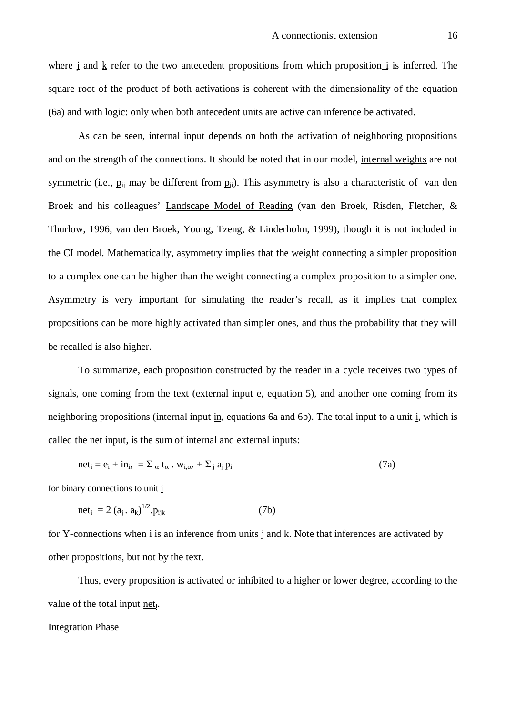where j and k refer to the two antecedent propositions from which proposition i is inferred. The square root of the product of both activations is coherent with the dimensionality of the equation (6a) and with logic: only when both antecedent units are active can inference be activated.

As can be seen, internal input depends on both the activation of neighboring propositions and on the strength of the connections. It should be noted that in our model, internal weights are not symmetric (i.e.,  $p_{ii}$  may be different from  $p_{ii}$ ). This asymmetry is also a characteristic of van den Broek and his colleagues' Landscape Model of Reading (van den Broek, Risden, Fletcher, & Thurlow, 1996; van den Broek, Young, Tzeng, & Linderholm, 1999), though it is not included in the CI model. Mathematically, asymmetry implies that the weight connecting a simpler proposition to a complex one can be higher than the weight connecting a complex proposition to a simpler one. Asymmetry is very important for simulating the reader's recall, as it implies that complex propositions can be more highly activated than simpler ones, and thus the probability that they will be recalled is also higher.

To summarize, each proposition constructed by the reader in a cycle receives two types of signals, one coming from the text (external input  $\mathbf{e}$ , equation 5), and another one coming from its neighboring propositions (internal input in, equations 6a and 6b). The total input to a unit i, which is called the net input, is the sum of internal and external inputs:

$$
\underline{\text{net}}_i = \underline{\mathbf{e}}_i + \underline{\mathbf{in}}_i, \quad = \sum_{\alpha} \underline{\mathbf{t}}_{\alpha} \cdot \underline{\mathbf{w}}_{i,\alpha} + \sum_{j} \underline{\mathbf{a}}_j \underline{\mathbf{p}}_{ij}
$$
\n(7a)

for binary connections to unit i

$$
\underline{\text{net}}_i = 2 \left( \underline{a}_i \cdot \underline{a}_k \right)^{1/2} \cdot \underline{p}_{ijk} \tag{7b}
$$

for Y-connections when  $\underline{i}$  is an inference from units  $\underline{j}$  and  $\underline{k}$ . Note that inferences are activated by other propositions, but not by the text.

Thus, every proposition is activated or inhibited to a higher or lower degree, according to the value of the total input net<sub>i</sub>.

# Integration Phase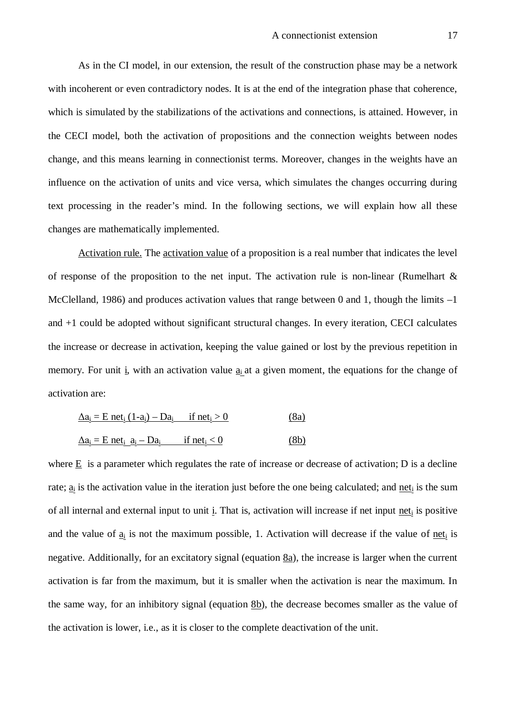As in the CI model, in our extension, the result of the construction phase may be a network with incoherent or even contradictory nodes. It is at the end of the integration phase that coherence, which is simulated by the stabilizations of the activations and connections, is attained. However, in the CECI model, both the activation of propositions and the connection weights between nodes change, and this means learning in connectionist terms. Moreover, changes in the weights have an influence on the activation of units and vice versa, which simulates the changes occurring during text processing in the reader's mind. In the following sections, we will explain how all these changes are mathematically implemented.

Activation rule. The activation value of a proposition is a real number that indicates the level of response of the proposition to the net input. The activation rule is non-linear (Rumelhart  $\&$ McClelland, 1986) and produces activation values that range between 0 and 1, though the limits  $-1$ and +1 could be adopted without significant structural changes. In every iteration, CECI calculates the increase or decrease in activation, keeping the value gained or lost by the previous repetition in memory. For unit i, with an activation value  $a_i$  at a given moment, the equations for the change of activation are:

| $\Delta a_i = E$ net <sub>i</sub> $(1-a_i) - Da_i$ if net <sub>i</sub> > 0                      |                           | (8a) |
|-------------------------------------------------------------------------------------------------|---------------------------|------|
| $\underline{\Delta a_i} = E$ net <sub>i</sub> $\underline{a_i} - \underline{D} \underline{a_i}$ | if net <sub>i</sub> $<$ 0 | (8b) |

where  $E$  is a parameter which regulates the rate of increase or decrease of activation; D is a decline rate;  $\underline{a}_i$  is the activation value in the iteration just before the one being calculated; and net<sub>i</sub> is the sum of all internal and external input to unit i. That is, activation will increase if net input neti is positive and the value of  $\underline{a_i}$  is not the maximum possible, 1. Activation will decrease if the value of <u>net</u><sub>i</sub> is negative. Additionally, for an excitatory signal (equation 8a), the increase is larger when the current activation is far from the maximum, but it is smaller when the activation is near the maximum. In the same way, for an inhibitory signal (equation  $8b$ ), the decrease becomes smaller as the value of the activation is lower, i.e., as it is closer to the complete deactivation of the unit.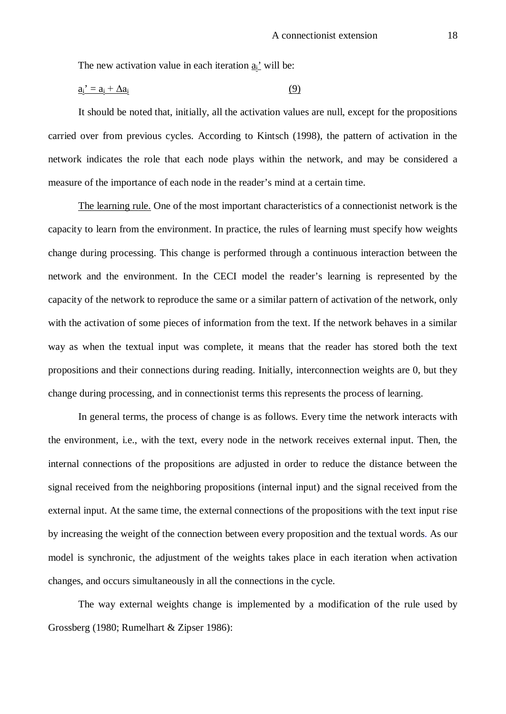The new activation value in each iteration  $\underline{a_i}$ ' will be:

$$
\underline{a_i}^{\prime} = \underline{a_i} + \Delta \underline{a_i} \tag{9}
$$

It should be noted that, initially, all the activation values are null, except for the propositions carried over from previous cycles. According to Kintsch (1998), the pattern of activation in the network indicates the role that each node plays within the network, and may be considered a measure of the importance of each node in the reader's mind at a certain time.

The learning rule. One of the most important characteristics of a connectionist network is the capacity to learn from the environment. In practice, the rules of learning must specify how weights change during processing. This change is performed through a continuous interaction between the network and the environment. In the CECI model the reader's learning is represented by the capacity of the network to reproduce the same or a similar pattern of activation of the network, only with the activation of some pieces of information from the text. If the network behaves in a similar way as when the textual input was complete, it means that the reader has stored both the text propositions and their connections during reading. Initially, interconnection weights are 0, but they change during processing, and in connectionist terms this represents the process of learning.

In general terms, the process of change is as follows. Every time the network interacts with the environment, i.e., with the text, every node in the network receives external input. Then, the internal connections of the propositions are adjusted in order to reduce the distance between the signal received from the neighboring propositions (internal input) and the signal received from the external input. At the same time, the external connections of the propositions with the text input rise by increasing the weight of the connection between every proposition and the textual words. As our model is synchronic, the adjustment of the weights takes place in each iteration when activation changes, and occurs simultaneously in all the connections in the cycle.

The way external weights change is implemented by a modification of the rule used by Grossberg (1980; Rumelhart & Zipser 1986):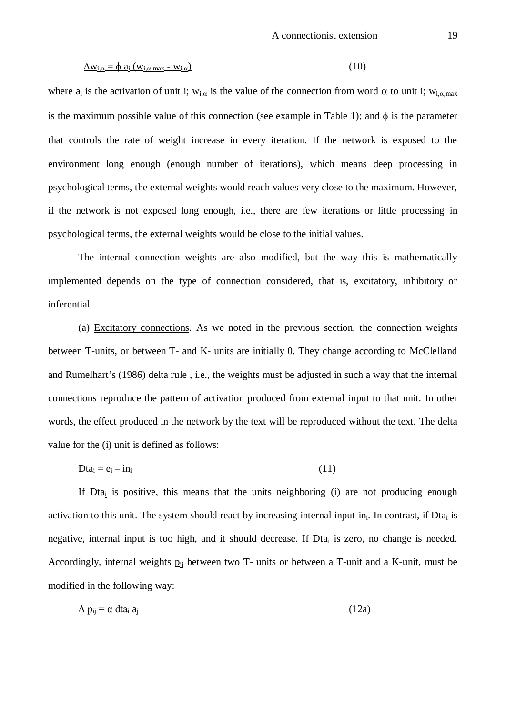$$
\underline{\Delta w_{i,\alpha}} = \phi a_i (w_{i,\alpha,\text{max}} - w_{i,\alpha})
$$
\n(10)

where  $a_i$  is the activation of unit i;  $w_{i,\alpha}$  is the value of the connection from word  $\alpha$  to unit i;  $w_{i,\alpha,max}$ is the maximum possible value of this connection (see example in Table 1); and  $\phi$  is the parameter that controls the rate of weight increase in every iteration. If the network is exposed to the environment long enough (enough number of iterations), which means deep processing in psychological terms, the external weights would reach values very close to the maximum. However, if the network is not exposed long enough, i.e., there are few iterations or little processing in psychological terms, the external weights would be close to the initial values.

The internal connection weights are also modified, but the way this is mathematically implemented depends on the type of connection considered, that is, excitatory, inhibitory or inferential.

(a) Excitatory connections. As we noted in the previous section, the connection weights between T-units, or between T- and K- units are initially 0. They change according to McClelland and Rumelhart's (1986) delta rule , i.e., the weights must be adjusted in such a way that the internal connections reproduce the pattern of activation produced from external input to that unit. In other words, the effect produced in the network by the text will be reproduced without the text. The delta value for the (i) unit is defined as follows:

$$
\underline{\text{D}t}a_i = e_i - in_i \tag{11}
$$

If  $D_{t4i}$  is positive, this means that the units neighboring (i) are not producing enough activation to this unit. The system should react by increasing internal input  $\underline{in_i}$ . In contrast, if  $Dta_i$  is negative, internal input is too high, and it should decrease. If  $Dta_i$  is zero, no change is needed. Accordingly, internal weights  $p_{ij}$  between two T- units or between a T-unit and a K-unit, must be modified in the following way:

$$
\Delta p_{ij} = \alpha \, \text{d}t a_i \, a_j \tag{12a}
$$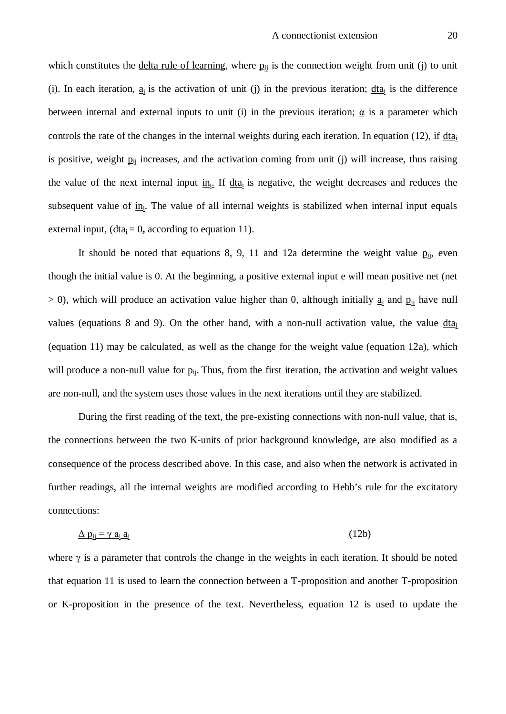which constitutes the delta rule of learning, where  $p_{ij}$  is the connection weight from unit (j) to unit (i). In each iteration,  $\underline{a}_i$  is the activation of unit (j) in the previous iteration;  $\underline{d}t\underline{a}_i$  is the difference between internal and external inputs to unit (i) in the previous iteration;  $\alpha$  is a parameter which controls the rate of the changes in the internal weights during each iteration. In equation (12), if dta<sub>i</sub> is positive, weight  $p_{ii}$  increases, and the activation coming from unit (j) will increase, thus raising the value of the next internal input  $\underline{\text{in}}_i$ . If  $\underline{\text{d}}\text{ta}_i$  is negative, the weight decreases and reduces the subsequent value of in<sub>i</sub>. The value of all internal weights is stabilized when internal input equals external input,  $(\underline{d}t\underline{a_i} = 0)$ , according to equation 11).

It should be noted that equations 8, 9, 11 and 12a determine the weight value  $p_{ii}$ , even though the initial value is 0. At the beginning, a positive external input  $\epsilon$  will mean positive net (net  $>$  0), which will produce an activation value higher than 0, although initially  $\underline{a_i}$  and  $\underline{p_{ij}}$  have null values (equations 8 and 9). On the other hand, with a non-null activation value, the value  $\frac{d}{da}$ (equation 11) may be calculated, as well as the change for the weight value (equation 12a), which will produce a non-null value for  $p_{ii}$ . Thus, from the first iteration, the activation and weight values are non-null, and the system uses those values in the next iterations until they are stabilized.

During the first reading of the text, the pre-existing connections with non-null value, that is, the connections between the two K-units of prior background knowledge, are also modified as a consequence of the process described above. In this case, and also when the network is activated in further readings, all the internal weights are modified according to Hebb's rule for the excitatory connections:

$$
\Delta p_{ij} = \gamma a_i a_j \tag{12b}
$$

where  $\gamma$  is a parameter that controls the change in the weights in each iteration. It should be noted that equation 11 is used to learn the connection between a T-proposition and another T-proposition or K-proposition in the presence of the text. Nevertheless, equation 12 is used to update the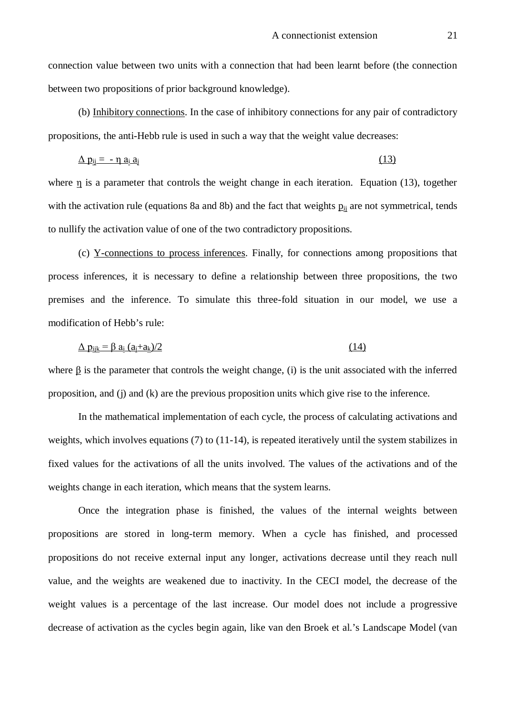connection value between two units with a connection that had been learnt before (the connection between two propositions of prior background knowledge).

(b) Inhibitory connections. In the case of inhibitory connections for any pair of contradictory propositions, the anti-Hebb rule is used in such a way that the weight value decreases:

$$
\Delta p_{ij} = -\eta a_i a_j \tag{13}
$$

where η is a parameter that controls the weight change in each iteration. Equation (13), together with the activation rule (equations 8a and 8b) and the fact that weights  $p_{ii}$  are not symmetrical, tends to nullify the activation value of one of the two contradictory propositions.

(c) Y-connections to process inferences. Finally, for connections among propositions that process inferences, it is necessary to define a relationship between three propositions, the two premises and the inference. To simulate this three-fold situation in our model, we use a modification of Hebb's rule:

$$
\Delta p_{ijk} = \beta a_i (a_i + a_k)/2 \tag{14}
$$

where  $\beta$  is the parameter that controls the weight change, (i) is the unit associated with the inferred proposition, and (j) and (k) are the previous proposition units which give rise to the inference.

In the mathematical implementation of each cycle, the process of calculating activations and weights, which involves equations (7) to (11-14), is repeated iteratively until the system stabilizes in fixed values for the activations of all the units involved. The values of the activations and of the weights change in each iteration, which means that the system learns.

Once the integration phase is finished, the values of the internal weights between propositions are stored in long-term memory. When a cycle has finished, and processed propositions do not receive external input any longer, activations decrease until they reach null value, and the weights are weakened due to inactivity. In the CECI model, the decrease of the weight values is a percentage of the last increase. Our model does not include a progressive decrease of activation as the cycles begin again, like van den Broek et al.'s Landscape Model (van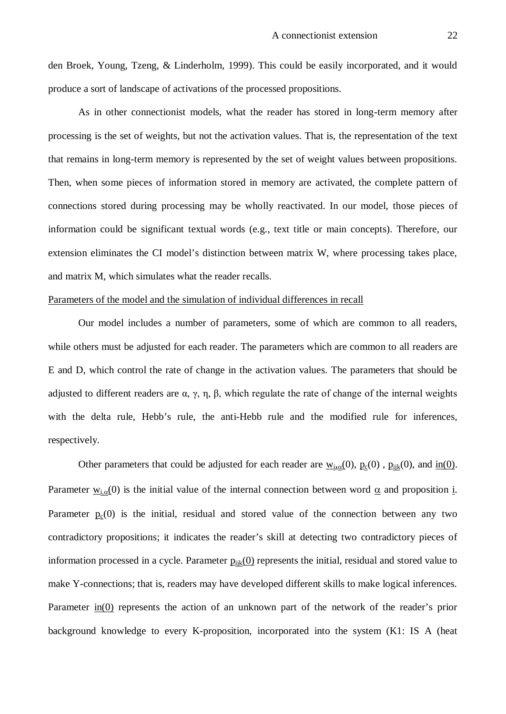den Broek, Young, Tzeng, & Linderholm, 1999). This could be easily incorporated, and it would produce a sort of landscape of activations of the processed propositions.

As in other connectionist models, what the reader has stored in long-term memory after processing is the set of weights, but not the activation values. That is, the representation of the text that remains in long-term memory is represented by the set of weight values between propositions. Then, when some pieces of information stored in memory are activated, the complete pattern of connections stored during processing may be wholly reactivated. In our model, those pieces of information could be significant textual words (e.g., text title or main concepts). Therefore, our extension eliminates the CI model's distinction between matrix W, where processing takes place, and matrix M, which simulates what the reader recalls.

### Parameters of the model and the simulation of individual differences in recall

Our model includes a number of parameters, some of which are common to all readers, while others must be adjusted for each reader. The parameters which are common to all readers are E and D, which control the rate of change in the activation values. The parameters that should be adjusted to different readers are α, γ, η, β, which regulate the rate of change of the internal weights with the delta rule, Hebb's rule, the anti-Hebb rule and the modified rule for inferences, respectively.

Other parameters that could be adjusted for each reader are  $w_{i,0}(0)$ ,  $p_c(0)$ ,  $p_{ijk}(0)$ , and  $\underline{in}(0)$ . Parameter  $w_{i,\alpha}(0)$  is the initial value of the internal connection between word  $\alpha$  and proposition i. Parameter  $p_c(0)$  is the initial, residual and stored value of the connection between any two contradictory propositions; it indicates the reader's skill at detecting two contradictory pieces of information processed in a cycle. Parameter  $p_{ijk}(0)$  represents the initial, residual and stored value to make Y-connections; that is, readers may have developed different skills to make logical inferences. Parameter in(0) represents the action of an unknown part of the network of the reader's prior background knowledge to every K-proposition, incorporated into the system (K1: IS A (heat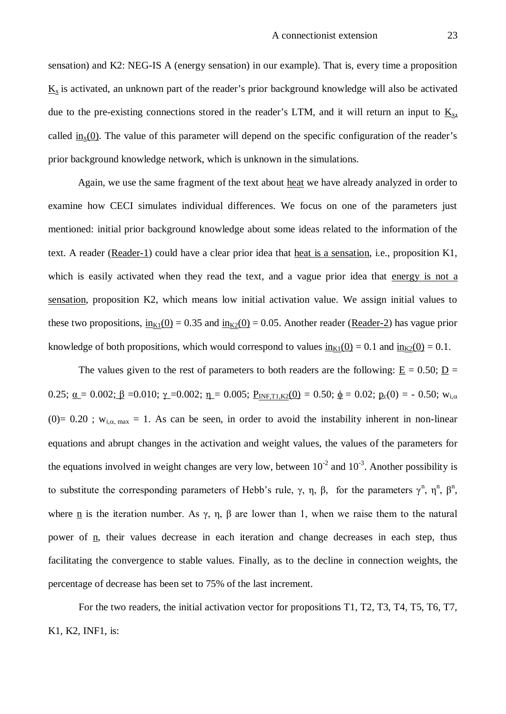sensation) and K2: NEG-IS A (energy sensation) in our example). That is, every time a proposition  $K<sub>x</sub>$  is activated, an unknown part of the reader's prior background knowledge will also be activated due to the pre-existing connections stored in the reader's LTM, and it will return an input to  $K_{x}$ , called in<sub>x</sub>(0). The value of this parameter will depend on the specific configuration of the reader's prior background knowledge network, which is unknown in the simulations.

Again, we use the same fragment of the text about heat we have already analyzed in order to examine how CECI simulates individual differences. We focus on one of the parameters just mentioned: initial prior background knowledge about some ideas related to the information of the text. A reader (Reader-1) could have a clear prior idea that heat is a sensation, i.e., proposition K1, which is easily activated when they read the text, and a vague prior idea that energy is not a sensation, proposition K2, which means low initial activation value. We assign initial values to these two propositions,  $\underline{in}_{K1}(0) = 0.35$  and  $\underline{in}_{K2}(0) = 0.05$ . Another reader (Reader-2) has vague prior knowledge of both propositions, which would correspond to values  $\frac{in_{K1}(0)}{=:0.1}$  and  $\frac{in_{K2}(0)}{::0.1}$ .

The values given to the rest of parameters to both readers are the following:  $E = 0.50$ ;  $D =$ 0.25;  $\underline{\alpha} = 0.002$ ;  $\underline{\beta} = 0.010$ ;  $\underline{\gamma} = 0.002$ ;  $\underline{\eta} = 0.005$ ;  $\underline{P_{INF,T1,K2}(0)} = 0.50$ ;  $\underline{\phi} = 0.02$ ;  $\underline{p}_c(0) = -0.50$ ;  $w_{i,\alpha}$ (0)= 0.20 ;  $w_{i,\alpha,\text{max}} = 1$ . As can be seen, in order to avoid the instability inherent in non-linear equations and abrupt changes in the activation and weight values, the values of the parameters for the equations involved in weight changes are very low, between  $10^{-2}$  and  $10^{-3}$ . Another possibility is to substitute the corresponding parameters of Hebb's rule,  $\gamma$ ,  $\eta$ ,  $\beta$ , for the parameters  $\gamma^n$ ,  $\eta^n$ ,  $\beta^n$ , where <u>n</u> is the iteration number. As  $\gamma$ ,  $\eta$ ,  $\beta$  are lower than 1, when we raise them to the natural power of <u>n</u>, their values decrease in each iteration and change decreases in each step, thus facilitating the convergence to stable values. Finally, as to the decline in connection weights, the percentage of decrease has been set to 75% of the last increment.

For the two readers, the initial activation vector for propositions T1, T2, T3, T4, T5, T6, T7, K1, K2, INF1, is: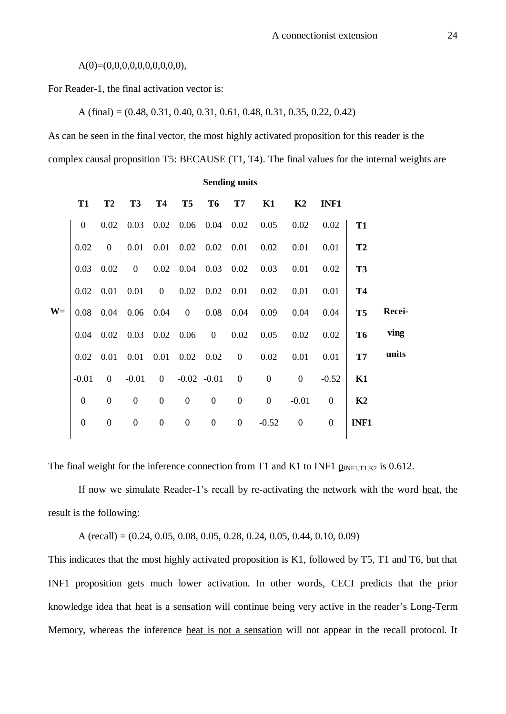A(0)=(0,0,0,0,0,0,0,0,0,0),

For Reader-1, the final activation vector is:

A (final) = (0.48, 0.31, 0.40, 0.31, 0.61, 0.48, 0.31, 0.35, 0.22, 0.42)

As can be seen in the final vector, the most highly activated proposition for this reader is the complex causal proposition T5: BECAUSE (T1, T4). The final values for the internal weights are

**Sending units**

|      | <b>T1</b>      | <b>T2</b>      | T <sub>3</sub> |                |              |                |              | T4 T5 T6 T7 K1 K2 INF1                                             |                |                                                                |                |        |
|------|----------------|----------------|----------------|----------------|--------------|----------------|--------------|--------------------------------------------------------------------|----------------|----------------------------------------------------------------|----------------|--------|
|      | $\overline{0}$ |                |                |                |              |                |              |                                                                    |                | $0.02$ $0.03$ $0.02$ $0.06$ $0.04$ $0.02$ $0.05$ $0.02$ $0.02$ | <b>T1</b>      |        |
|      | 0.02           |                |                |                |              |                |              |                                                                    |                |                                                                | <b>T2</b>      |        |
|      |                |                |                |                |              |                |              | $0.03$ $0.02$ 0 $0.02$ 0.04 0.03 0.02 0.03 0.01 0.02               |                |                                                                | <b>T3</b>      |        |
|      |                |                |                |                |              |                |              | $0.02$ $0.01$ $0.01$ 0 $0.02$ $0.02$ $0.01$ 0.02 $0.01$ 0.01 0.01  |                |                                                                | <b>T4</b>      |        |
| $W=$ |                |                |                |                |              |                |              | $0.08$ 0.04 0.06 0.04 0 0.08 0.04 0.09 0.04 0.04                   |                |                                                                | T <sub>5</sub> | Recei- |
|      |                |                |                |                |              |                |              | $0.04$ $0.02$ $0.03$ $0.02$ $0.06$ $0$ $0.02$ $0.05$ $0.02$ $0.02$ |                |                                                                | <b>T6</b>      | ving   |
|      |                |                |                |                |              |                |              | $0.02$ $0.01$ $0.01$ $0.01$ $0.02$ $0.02$ $0$ $0.02$ $0.01$ $0.01$ |                |                                                                | T7             | units  |
|      | $-0.01$        |                |                |                |              |                |              | $0$ -0.01 0 -0.02 -0.01 0 0                                        | $\overline{0}$ | $-0.52$                                                        | K1             |        |
|      | $\overline{0}$ | $\overline{0}$ | $\overline{0}$ | $\overline{0}$ | $0\qquad 0$  |                |              | $0\qquad 0$                                                        | $-0.01$        | $\overline{0}$                                                 | K2             |        |
|      | $\overline{0}$ | $\overline{0}$ | $\overline{0}$ | $\overline{0}$ | $\mathbf{0}$ | $\overline{0}$ | $\mathbf{0}$ | $-0.52$ 0                                                          |                | $\overline{0}$                                                 | INF1           |        |
|      |                |                |                |                |              |                |              |                                                                    |                |                                                                |                |        |

The final weight for the inference connection from T1 and K1 to INF1  $p_{INF1,T1,K2}$  is 0.612.

If now we simulate Reader-1's recall by re-activating the network with the word heat, the result is the following:

A (recall) =  $(0.24, 0.05, 0.08, 0.05, 0.28, 0.24, 0.05, 0.44, 0.10, 0.09)$ 

This indicates that the most highly activated proposition is K1, followed by T5, T1 and T6, but that INF1 proposition gets much lower activation. In other words, CECI predicts that the prior knowledge idea that heat is a sensation will continue being very active in the reader's Long-Term Memory, whereas the inference heat is not a sensation will not appear in the recall protocol. It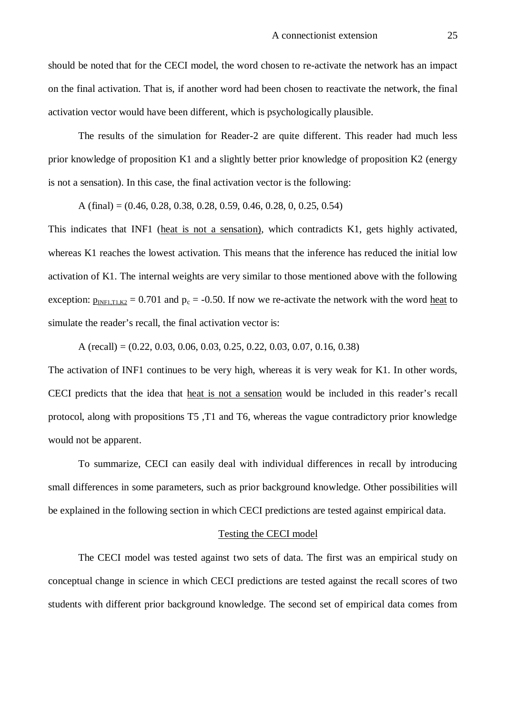should be noted that for the CECI model, the word chosen to re-activate the network has an impact on the final activation. That is, if another word had been chosen to reactivate the network, the final activation vector would have been different, which is psychologically plausible.

The results of the simulation for Reader-2 are quite different. This reader had much less prior knowledge of proposition K1 and a slightly better prior knowledge of proposition K2 (energy is not a sensation). In this case, the final activation vector is the following:

A (final) = (0.46, 0.28, 0.38, 0.28, 0.59, 0.46, 0.28, 0, 0.25, 0.54)

This indicates that INF1 (heat is not a sensation), which contradicts K1, gets highly activated, whereas K1 reaches the lowest activation. This means that the inference has reduced the initial low activation of K1. The internal weights are very similar to those mentioned above with the following exception:  $p_{INFI,T1,K2} = 0.701$  and  $p_c = -0.50$ . If now we re-activate the network with the word heat to simulate the reader's recall, the final activation vector is:

A (recall) =  $(0.22, 0.03, 0.06, 0.03, 0.25, 0.22, 0.03, 0.07, 0.16, 0.38)$ 

The activation of INF1 continues to be very high, whereas it is very weak for K1. In other words, CECI predicts that the idea that heat is not a sensation would be included in this reader's recall protocol, along with propositions T5 ,T1 and T6, whereas the vague contradictory prior knowledge would not be apparent.

To summarize, CECI can easily deal with individual differences in recall by introducing small differences in some parameters, such as prior background knowledge. Other possibilities will be explained in the following section in which CECI predictions are tested against empirical data.

#### Testing the CECI model

The CECI model was tested against two sets of data. The first was an empirical study on conceptual change in science in which CECI predictions are tested against the recall scores of two students with different prior background knowledge. The second set of empirical data comes from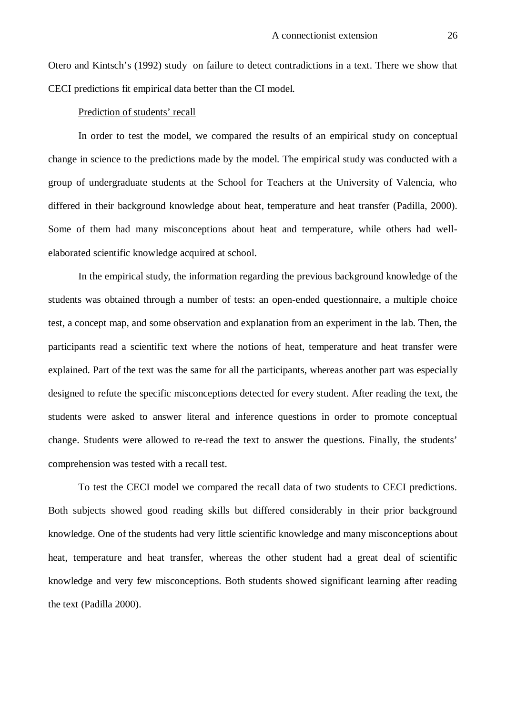Otero and Kintsch's (1992) study on failure to detect contradictions in a text. There we show that CECI predictions fit empirical data better than the CI model.

### Prediction of students' recall

In order to test the model, we compared the results of an empirical study on conceptual change in science to the predictions made by the model. The empirical study was conducted with a group of undergraduate students at the School for Teachers at the University of Valencia, who differed in their background knowledge about heat, temperature and heat transfer (Padilla, 2000). Some of them had many misconceptions about heat and temperature, while others had wellelaborated scientific knowledge acquired at school.

In the empirical study, the information regarding the previous background knowledge of the students was obtained through a number of tests: an open-ended questionnaire, a multiple choice test, a concept map, and some observation and explanation from an experiment in the lab. Then, the participants read a scientific text where the notions of heat, temperature and heat transfer were explained. Part of the text was the same for all the participants, whereas another part was especially designed to refute the specific misconceptions detected for every student. After reading the text, the students were asked to answer literal and inference questions in order to promote conceptual change. Students were allowed to re-read the text to answer the questions. Finally, the students' comprehension was tested with a recall test.

To test the CECI model we compared the recall data of two students to CECI predictions. Both subjects showed good reading skills but differed considerably in their prior background knowledge. One of the students had very little scientific knowledge and many misconceptions about heat, temperature and heat transfer, whereas the other student had a great deal of scientific knowledge and very few misconceptions. Both students showed significant learning after reading the text (Padilla 2000).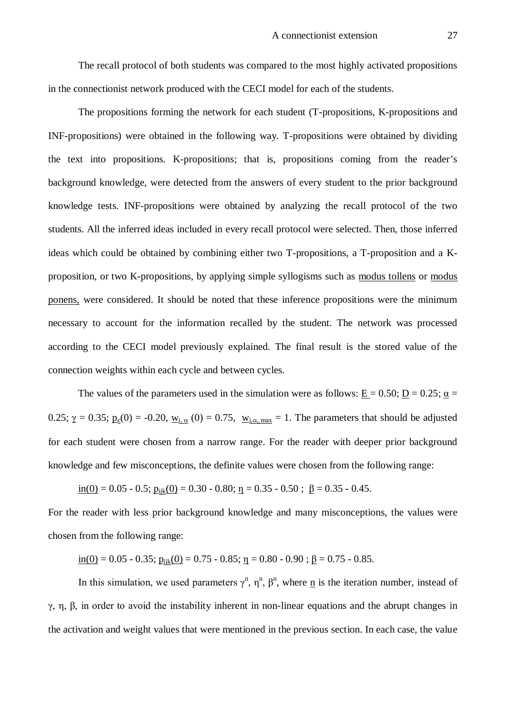The recall protocol of both students was compared to the most highly activated propositions in the connectionist network produced with the CECI model for each of the students.

The propositions forming the network for each student (T-propositions, K-propositions and INF-propositions) were obtained in the following way. T-propositions were obtained by dividing the text into propositions. K-propositions; that is, propositions coming from the reader's background knowledge, were detected from the answers of every student to the prior background knowledge tests. INF-propositions were obtained by analyzing the recall protocol of the two students. All the inferred ideas included in every recall protocol were selected. Then, those inferred ideas which could be obtained by combining either two T-propositions, a T-proposition and a Kproposition, or two K-propositions, by applying simple syllogisms such as modus tollens or modus ponens, were considered. It should be noted that these inference propositions were the minimum necessary to account for the information recalled by the student. The network was processed according to the CECI model previously explained. The final result is the stored value of the connection weights within each cycle and between cycles.

The values of the parameters used in the simulation were as follows:  $E = 0.50$ ;  $D = 0.25$ ;  $a =$ 0.25;  $\gamma = 0.35$ ;  $p_c(0) = -0.20$ ,  $w_{i, \alpha}$  (0) = 0.75,  $w_{i, \alpha, \text{max}} = 1$ . The parameters that should be adjusted for each student were chosen from a narrow range. For the reader with deeper prior background knowledge and few misconceptions, the definite values were chosen from the following range:

$$
\underline{\text{in}(0)} = 0.05 - 0.5; \ \underline{\text{pi}(0)} = 0.30 - 0.80; \ \underline{\eta} = 0.35 - 0.50; \ \underline{\beta} = 0.35 - 0.45.
$$

For the reader with less prior background knowledge and many misconceptions, the values were chosen from the following range:

 $\underline{\text{in}(0)} = 0.05 - 0.35$ ;  $\underline{\text{p}}_{\text{ijk}}(0) = 0.75 - 0.85$ ;  $\underline{\text{n}} = 0.80 - 0.90$ ;  $\underline{\beta} = 0.75 - 0.85$ .

In this simulation, we used parameters  $\gamma^n$ ,  $\eta^n$ ,  $\beta^n$ , where <u>n</u> is the iteration number, instead of γ, η, β, in order to avoid the instability inherent in non-linear equations and the abrupt changes in the activation and weight values that were mentioned in the previous section. In each case, the value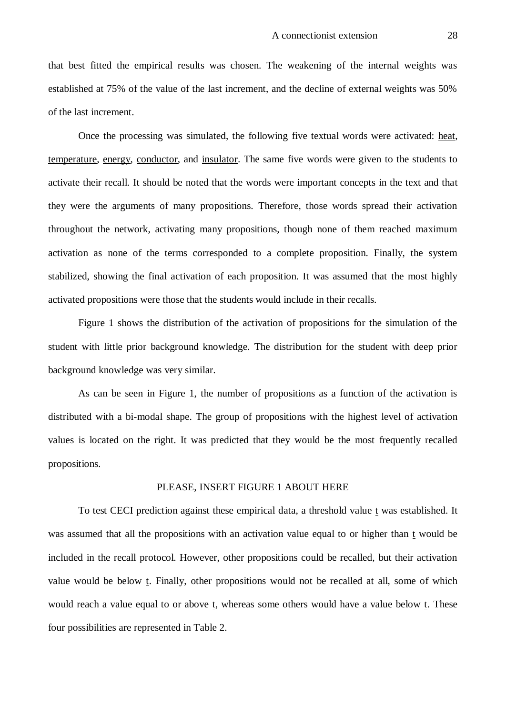that best fitted the empirical results was chosen. The weakening of the internal weights was established at 75% of the value of the last increment, and the decline of external weights was 50% of the last increment.

Once the processing was simulated, the following five textual words were activated: heat, temperature, energy, conductor, and insulator. The same five words were given to the students to activate their recall. It should be noted that the words were important concepts in the text and that they were the arguments of many propositions. Therefore, those words spread their activation throughout the network, activating many propositions, though none of them reached maximum activation as none of the terms corresponded to a complete proposition. Finally, the system stabilized, showing the final activation of each proposition. It was assumed that the most highly activated propositions were those that the students would include in their recalls.

Figure 1 shows the distribution of the activation of propositions for the simulation of the student with little prior background knowledge. The distribution for the student with deep prior background knowledge was very similar.

As can be seen in Figure 1, the number of propositions as a function of the activation is distributed with a bi-modal shape. The group of propositions with the highest level of activation values is located on the right. It was predicted that they would be the most frequently recalled propositions.

#### PLEASE, INSERT FIGURE 1 ABOUT HERE

To test CECI prediction against these empirical data, a threshold value t was established. It was assumed that all the propositions with an activation value equal to or higher than t would be included in the recall protocol. However, other propositions could be recalled, but their activation value would be below t. Finally, other propositions would not be recalled at all, some of which would reach a value equal to or above t, whereas some others would have a value below t. These four possibilities are represented in Table 2.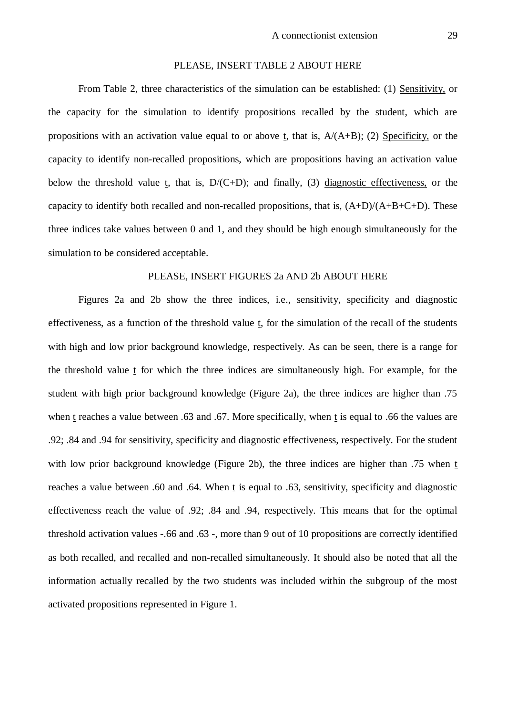#### PLEASE, INSERT TABLE 2 ABOUT HERE

From Table 2, three characteristics of the simulation can be established: (1) Sensitivity, or the capacity for the simulation to identify propositions recalled by the student, which are propositions with an activation value equal to or above t, that is,  $A/(A+B)$ ; (2) Specificity, or the capacity to identify non-recalled propositions, which are propositions having an activation value below the threshold value t, that is, D/(C+D); and finally, (3) diagnostic effectiveness, or the capacity to identify both recalled and non-recalled propositions, that is,  $(A+D)/(A+B+C+D)$ . These three indices take values between 0 and 1, and they should be high enough simultaneously for the simulation to be considered acceptable.

#### PLEASE, INSERT FIGURES 2a AND 2b ABOUT HERE

Figures 2a and 2b show the three indices, i.e., sensitivity, specificity and diagnostic effectiveness, as a function of the threshold value  $t$ , for the simulation of the recall of the students</u> with high and low prior background knowledge, respectively. As can be seen, there is a range for the threshold value  $t$  for which the three indices are simultaneously high. For example, for the student with high prior background knowledge (Figure 2a), the three indices are higher than .75 when t reaches a value between .63 and .67. More specifically, when t is equal to .66 the values are .92; .84 and .94 for sensitivity, specificity and diagnostic effectiveness, respectively. For the student with low prior background knowledge (Figure 2b), the three indices are higher than .75 when t reaches a value between .60 and .64. When t is equal to .63, sensitivity, specificity and diagnostic effectiveness reach the value of .92; .84 and .94, respectively. This means that for the optimal threshold activation values -.66 and .63 -, more than 9 out of 10 propositions are correctly identified as both recalled, and recalled and non-recalled simultaneously. It should also be noted that all the information actually recalled by the two students was included within the subgroup of the most activated propositions represented in Figure 1.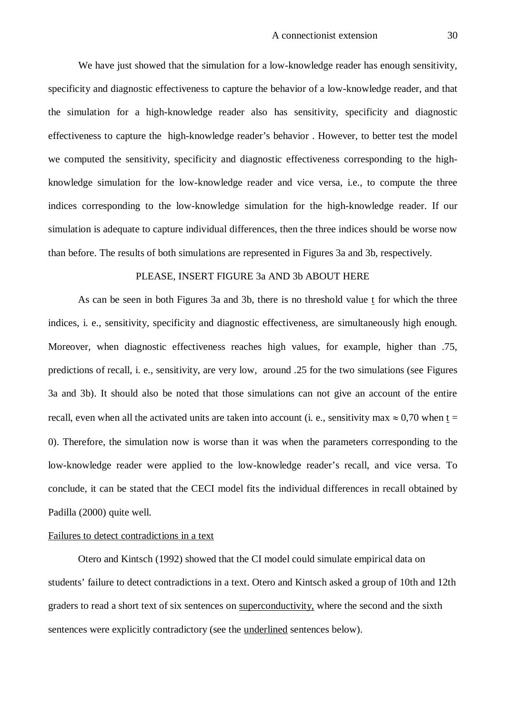We have just showed that the simulation for a low-knowledge reader has enough sensitivity, specificity and diagnostic effectiveness to capture the behavior of a low-knowledge reader, and that the simulation for a high-knowledge reader also has sensitivity, specificity and diagnostic effectiveness to capture the high-knowledge reader's behavior . However, to better test the model we computed the sensitivity, specificity and diagnostic effectiveness corresponding to the highknowledge simulation for the low-knowledge reader and vice versa, i.e., to compute the three indices corresponding to the low-knowledge simulation for the high-knowledge reader. If our simulation is adequate to capture individual differences, then the three indices should be worse now than before. The results of both simulations are represented in Figures 3a and 3b, respectively.

### PLEASE, INSERT FIGURE 3a AND 3b ABOUT HERE

As can be seen in both Figures 3a and 3b, there is no threshold value t for which the three indices, i. e., sensitivity, specificity and diagnostic effectiveness, are simultaneously high enough. Moreover, when diagnostic effectiveness reaches high values, for example, higher than .75, predictions of recall, i. e., sensitivity, are very low, around .25 for the two simulations (see Figures 3a and 3b). It should also be noted that those simulations can not give an account of the entire recall, even when all the activated units are taken into account (i. e., sensitivity max  $\approx 0.70$  when t = 0). Therefore, the simulation now is worse than it was when the parameters corresponding to the low-knowledge reader were applied to the low-knowledge reader's recall, and vice versa. To conclude, it can be stated that the CECI model fits the individual differences in recall obtained by Padilla (2000) quite well.

### Failures to detect contradictions in a text

Otero and Kintsch (1992) showed that the CI model could simulate empirical data on students' failure to detect contradictions in a text. Otero and Kintsch asked a group of 10th and 12th graders to read a short text of six sentences on superconductivity, where the second and the sixth sentences were explicitly contradictory (see the underlined sentences below).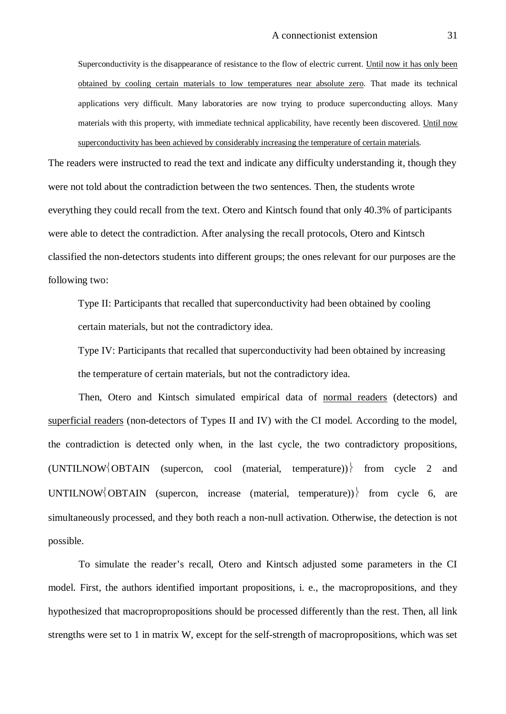Superconductivity is the disappearance of resistance to the flow of electric current. Until now it has only been obtained by cooling certain materials to low temperatures near absolute zero. That made its technical applications very difficult. Many laboratories are now trying to produce superconducting alloys. Many materials with this property, with immediate technical applicability, have recently been discovered. Until now superconductivity has been achieved by considerably increasing the temperature of certain materials.

The readers were instructed to read the text and indicate any difficulty understanding it, though they were not told about the contradiction between the two sentences. Then, the students wrote everything they could recall from the text. Otero and Kintsch found that only 40.3% of participants were able to detect the contradiction. After analysing the recall protocols, Otero and Kintsch classified the non-detectors students into different groups; the ones relevant for our purposes are the following two:

Type II: Participants that recalled that superconductivity had been obtained by cooling certain materials, but not the contradictory idea.

Type IV: Participants that recalled that superconductivity had been obtained by increasing the temperature of certain materials, but not the contradictory idea.

Then, Otero and Kintsch simulated empirical data of normal readers (detectors) and superficial readers (non-detectors of Types II and IV) with the CI model. According to the model, the contradiction is detected only when, in the last cycle, the two contradictory propositions,  $(UNITI LNOWLEDY \setminus OBTAIN$  (supercon, cool (material, temperature)) from cycle 2 and UNTILNOW OBTAIN (supercon, increase (material, temperature)) from cycle 6, are simultaneously processed, and they both reach a non-null activation. Otherwise, the detection is not possible.

To simulate the reader's recall, Otero and Kintsch adjusted some parameters in the CI model. First, the authors identified important propositions, i. e., the macropropositions, and they hypothesized that macropropropositions should be processed differently than the rest. Then, all link strengths were set to 1 in matrix W, except for the self-strength of macropropositions, which was set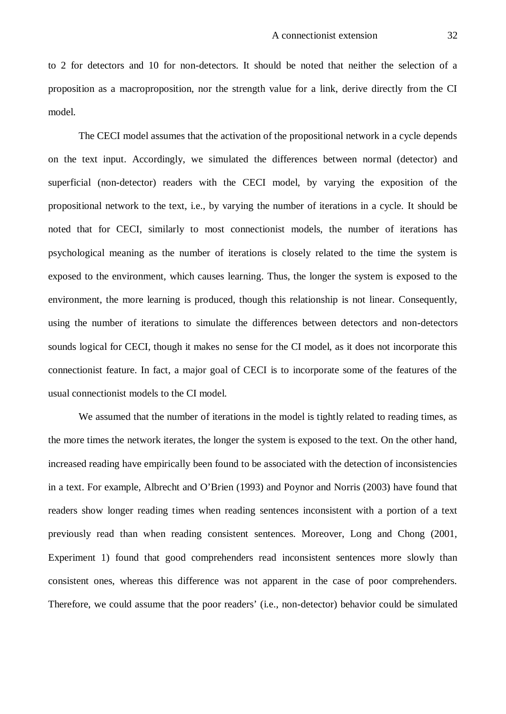to 2 for detectors and 10 for non-detectors. It should be noted that neither the selection of a proposition as a macroproposition, nor the strength value for a link, derive directly from the CI model.

The CECI model assumes that the activation of the propositional network in a cycle depends on the text input. Accordingly, we simulated the differences between normal (detector) and superficial (non-detector) readers with the CECI model, by varying the exposition of the propositional network to the text, i.e., by varying the number of iterations in a cycle. It should be noted that for CECI, similarly to most connectionist models, the number of iterations has psychological meaning as the number of iterations is closely related to the time the system is exposed to the environment, which causes learning. Thus, the longer the system is exposed to the environment, the more learning is produced, though this relationship is not linear. Consequently, using the number of iterations to simulate the differences between detectors and non-detectors sounds logical for CECI, though it makes no sense for the CI model, as it does not incorporate this connectionist feature. In fact, a major goal of CECI is to incorporate some of the features of the usual connectionist models to the CI model.

We assumed that the number of iterations in the model is tightly related to reading times, as the more times the network iterates, the longer the system is exposed to the text. On the other hand, increased reading have empirically been found to be associated with the detection of inconsistencies in a text. For example, Albrecht and O'Brien (1993) and Poynor and Norris (2003) have found that readers show longer reading times when reading sentences inconsistent with a portion of a text previously read than when reading consistent sentences. Moreover, Long and Chong (2001, Experiment 1) found that good comprehenders read inconsistent sentences more slowly than consistent ones, whereas this difference was not apparent in the case of poor comprehenders. Therefore, we could assume that the poor readers' (i.e., non-detector) behavior could be simulated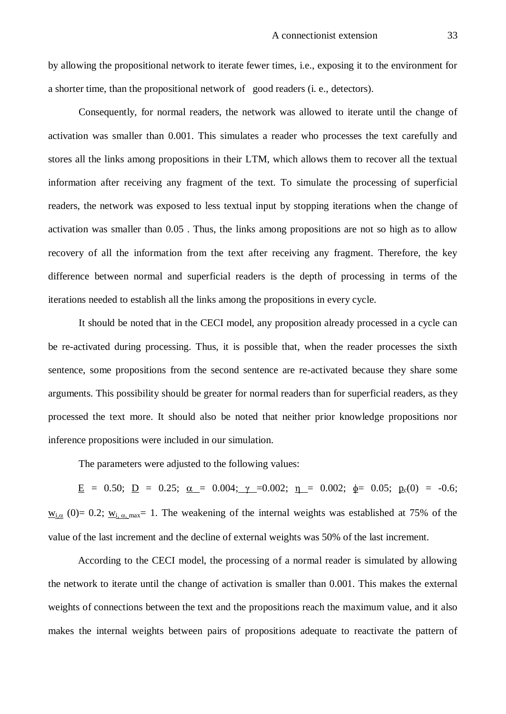by allowing the propositional network to iterate fewer times, i.e., exposing it to the environment for a shorter time, than the propositional network of good readers (i. e., detectors).

Consequently, for normal readers, the network was allowed to iterate until the change of activation was smaller than 0.001. This simulates a reader who processes the text carefully and stores all the links among propositions in their LTM, which allows them to recover all the textual information after receiving any fragment of the text. To simulate the processing of superficial readers, the network was exposed to less textual input by stopping iterations when the change of activation was smaller than 0.05 . Thus, the links among propositions are not so high as to allow recovery of all the information from the text after receiving any fragment. Therefore, the key difference between normal and superficial readers is the depth of processing in terms of the iterations needed to establish all the links among the propositions in every cycle.

It should be noted that in the CECI model, any proposition already processed in a cycle can be re-activated during processing. Thus, it is possible that, when the reader processes the sixth sentence, some propositions from the second sentence are re-activated because they share some arguments. This possibility should be greater for normal readers than for superficial readers, as they processed the text more. It should also be noted that neither prior knowledge propositions nor inference propositions were included in our simulation.

The parameters were adjusted to the following values:

<u>E</u> = 0.50; <u>D</u> = 0.25; <u> $\alpha$ </u> = 0.004;  $\gamma$  = 0.002; <u>n</u> = 0.002;  $\phi$  = 0.05;  $p_c(0)$  = -0.6;  $w_{i,\alpha}$  (0)= 0.2;  $w_{i,\alpha,\text{max}}$ = 1. The weakening of the internal weights was established at 75% of the value of the last increment and the decline of external weights was 50% of the last increment.

According to the CECI model, the processing of a normal reader is simulated by allowing the network to iterate until the change of activation is smaller than 0.001. This makes the external weights of connections between the text and the propositions reach the maximum value, and it also makes the internal weights between pairs of propositions adequate to reactivate the pattern of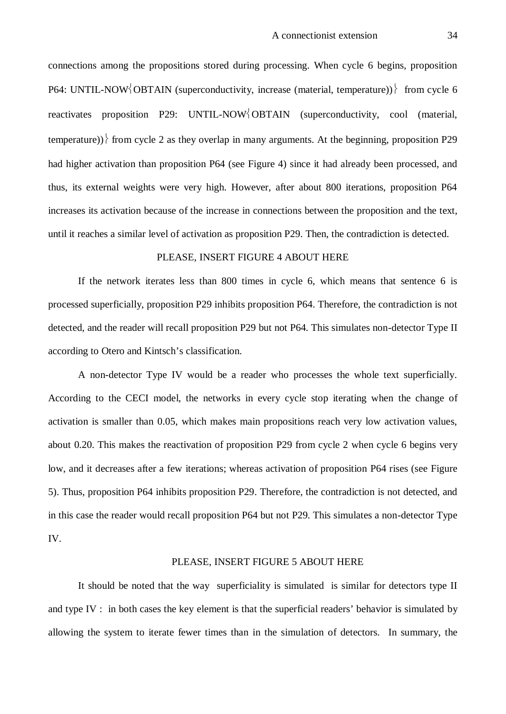connections among the propositions stored during processing. When cycle 6 begins, proposition P64: UNTIL-NOW OBTAIN (superconductivity, increase (material, temperature)) from cycle 6 reactivates proposition P29: UNTIL-NOW OBTAIN (superconductivity, cool (material, temperature)) from cycle 2 as they overlap in many arguments. At the beginning, proposition P29 had higher activation than proposition P64 (see Figure 4) since it had already been processed, and thus, its external weights were very high. However, after about 800 iterations, proposition P64 increases its activation because of the increase in connections between the proposition and the text, until it reaches a similar level of activation as proposition P29. Then, the contradiction is detected.

# PLEASE, INSERT FIGURE 4 ABOUT HERE

If the network iterates less than 800 times in cycle 6, which means that sentence 6 is processed superficially, proposition P29 inhibits proposition P64. Therefore, the contradiction is not detected, and the reader will recall proposition P29 but not P64. This simulates non-detector Type II according to Otero and Kintsch's classification.

A non-detector Type IV would be a reader who processes the whole text superficially. According to the CECI model, the networks in every cycle stop iterating when the change of activation is smaller than 0.05, which makes main propositions reach very low activation values, about 0.20. This makes the reactivation of proposition P29 from cycle 2 when cycle 6 begins very low, and it decreases after a few iterations; whereas activation of proposition P64 rises (see Figure 5). Thus, proposition P64 inhibits proposition P29. Therefore, the contradiction is not detected, and in this case the reader would recall proposition P64 but not P29. This simulates a non-detector Type IV.

### PLEASE, INSERT FIGURE 5 ABOUT HERE

It should be noted that the way superficiality is simulated is similar for detectors type II and type IV : in both cases the key element is that the superficial readers' behavior is simulated by allowing the system to iterate fewer times than in the simulation of detectors. In summary, the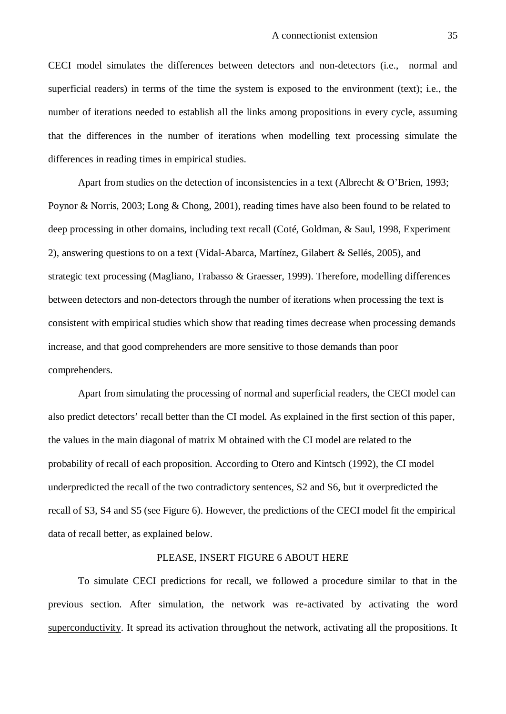CECI model simulates the differences between detectors and non-detectors (i.e., normal and superficial readers) in terms of the time the system is exposed to the environment (text); i.e., the number of iterations needed to establish all the links among propositions in every cycle, assuming that the differences in the number of iterations when modelling text processing simulate the differences in reading times in empirical studies.

Apart from studies on the detection of inconsistencies in a text (Albrecht & O'Brien, 1993; Poynor & Norris, 2003; Long & Chong, 2001), reading times have also been found to be related to deep processing in other domains, including text recall (Coté, Goldman, & Saul, 1998, Experiment 2), answering questions to on a text (Vidal-Abarca, Martínez, Gilabert & Sellés, 2005), and strategic text processing (Magliano, Trabasso & Graesser, 1999). Therefore, modelling differences between detectors and non-detectors through the number of iterations when processing the text is consistent with empirical studies which show that reading times decrease when processing demands increase, and that good comprehenders are more sensitive to those demands than poor comprehenders.

Apart from simulating the processing of normal and superficial readers, the CECI model can also predict detectors' recall better than the CI model. As explained in the first section of this paper, the values in the main diagonal of matrix M obtained with the CI model are related to the probability of recall of each proposition. According to Otero and Kintsch (1992), the CI model underpredicted the recall of the two contradictory sentences, S2 and S6, but it overpredicted the recall of S3, S4 and S5 (see Figure 6). However, the predictions of the CECI model fit the empirical data of recall better, as explained below.

# PLEASE, INSERT FIGURE 6 ABOUT HERE

To simulate CECI predictions for recall, we followed a procedure similar to that in the previous section. After simulation, the network was re-activated by activating the word superconductivity. It spread its activation throughout the network, activating all the propositions. It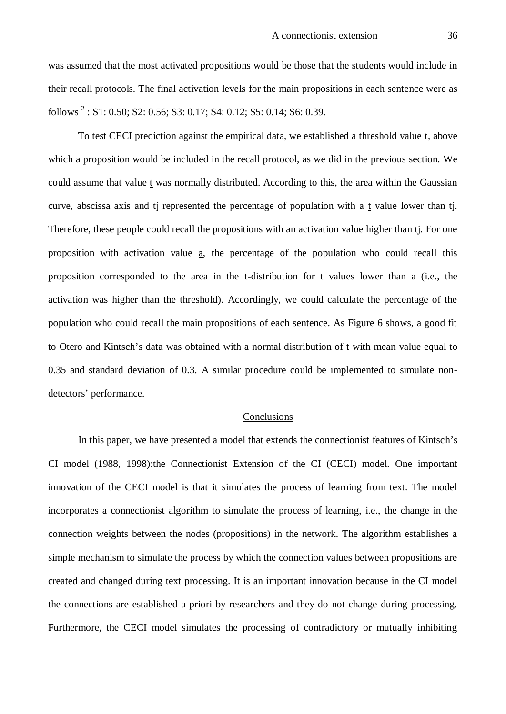was assumed that the most activated propositions would be those that the students would include in their recall protocols. The final activation levels for the main propositions in each sentence were as follows <sup>2</sup> : S1: 0.50; S2: 0.56; S3: 0.17; S4: 0.12; S5: 0.14; S6: 0.39.

To test CECI prediction against the empirical data, we established a threshold value t, above which a proposition would be included in the recall protocol, as we did in the previous section. We could assume that value t was normally distributed. According to this, the area within the Gaussian curve, abscissa axis and tj represented the percentage of population with a t value lower than tj. Therefore, these people could recall the propositions with an activation value higher than tj. For one proposition with activation value a, the percentage of the population who could recall this proposition corresponded to the area in the t-distribution for t values lower than a (i.e., the activation was higher than the threshold). Accordingly, we could calculate the percentage of the population who could recall the main propositions of each sentence. As Figure 6 shows, a good fit to Otero and Kintsch's data was obtained with a normal distribution of t with mean value equal to 0.35 and standard deviation of 0.3. A similar procedure could be implemented to simulate nondetectors' performance.

### Conclusions

In this paper, we have presented a model that extends the connectionist features of Kintsch's CI model (1988, 1998):the Connectionist Extension of the CI (CECI) model. One important innovation of the CECI model is that it simulates the process of learning from text. The model incorporates a connectionist algorithm to simulate the process of learning, i.e., the change in the connection weights between the nodes (propositions) in the network. The algorithm establishes a simple mechanism to simulate the process by which the connection values between propositions are created and changed during text processing. It is an important innovation because in the CI model the connections are established a priori by researchers and they do not change during processing. Furthermore, the CECI model simulates the processing of contradictory or mutually inhibiting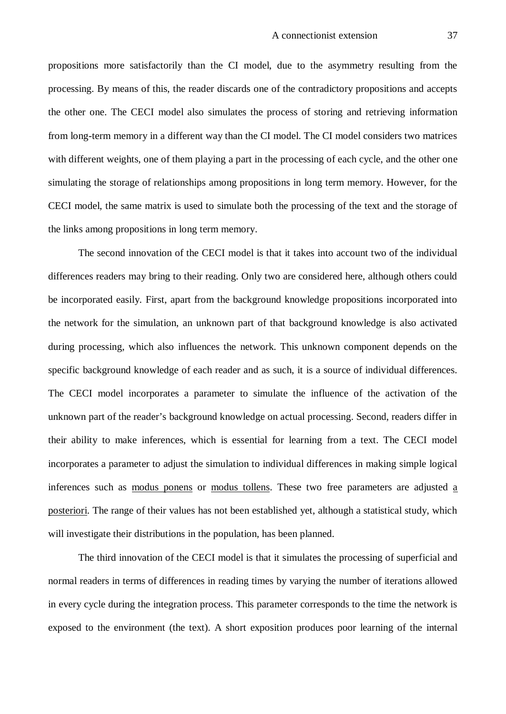propositions more satisfactorily than the CI model, due to the asymmetry resulting from the processing. By means of this, the reader discards one of the contradictory propositions and accepts the other one. The CECI model also simulates the process of storing and retrieving information from long-term memory in a different way than the CI model. The CI model considers two matrices with different weights, one of them playing a part in the processing of each cycle, and the other one simulating the storage of relationships among propositions in long term memory. However, for the CECI model, the same matrix is used to simulate both the processing of the text and the storage of the links among propositions in long term memory.

The second innovation of the CECI model is that it takes into account two of the individual differences readers may bring to their reading. Only two are considered here, although others could be incorporated easily. First, apart from the background knowledge propositions incorporated into the network for the simulation, an unknown part of that background knowledge is also activated during processing, which also influences the network. This unknown component depends on the specific background knowledge of each reader and as such, it is a source of individual differences. The CECI model incorporates a parameter to simulate the influence of the activation of the unknown part of the reader's background knowledge on actual processing. Second, readers differ in their ability to make inferences, which is essential for learning from a text. The CECI model incorporates a parameter to adjust the simulation to individual differences in making simple logical inferences such as modus ponens or modus tollens. These two free parameters are adjusted a posteriori. The range of their values has not been established yet, although a statistical study, which will investigate their distributions in the population, has been planned.

The third innovation of the CECI model is that it simulates the processing of superficial and normal readers in terms of differences in reading times by varying the number of iterations allowed in every cycle during the integration process. This parameter corresponds to the time the network is exposed to the environment (the text). A short exposition produces poor learning of the internal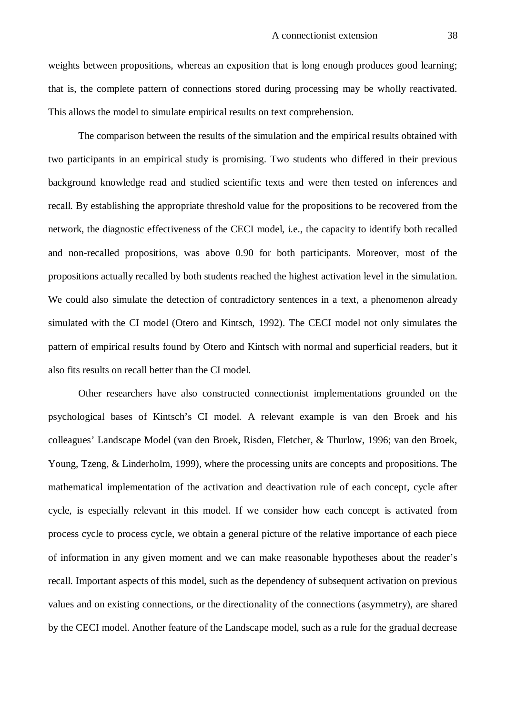weights between propositions, whereas an exposition that is long enough produces good learning; that is, the complete pattern of connections stored during processing may be wholly reactivated. This allows the model to simulate empirical results on text comprehension.

The comparison between the results of the simulation and the empirical results obtained with two participants in an empirical study is promising. Two students who differed in their previous background knowledge read and studied scientific texts and were then tested on inferences and recall. By establishing the appropriate threshold value for the propositions to be recovered from the network, the diagnostic effectiveness of the CECI model, i.e., the capacity to identify both recalled and non-recalled propositions, was above 0.90 for both participants. Moreover, most of the propositions actually recalled by both students reached the highest activation level in the simulation. We could also simulate the detection of contradictory sentences in a text, a phenomenon already simulated with the CI model (Otero and Kintsch, 1992). The CECI model not only simulates the pattern of empirical results found by Otero and Kintsch with normal and superficial readers, but it also fits results on recall better than the CI model.

Other researchers have also constructed connectionist implementations grounded on the psychological bases of Kintsch's CI model. A relevant example is van den Broek and his colleagues' Landscape Model (van den Broek, Risden, Fletcher, & Thurlow, 1996; van den Broek, Young, Tzeng, & Linderholm, 1999), where the processing units are concepts and propositions. The mathematical implementation of the activation and deactivation rule of each concept, cycle after cycle, is especially relevant in this model. If we consider how each concept is activated from process cycle to process cycle, we obtain a general picture of the relative importance of each piece of information in any given moment and we can make reasonable hypotheses about the reader's recall. Important aspects of this model, such as the dependency of subsequent activation on previous values and on existing connections, or the directionality of the connections (asymmetry), are shared by the CECI model. Another feature of the Landscape model, such as a rule for the gradual decrease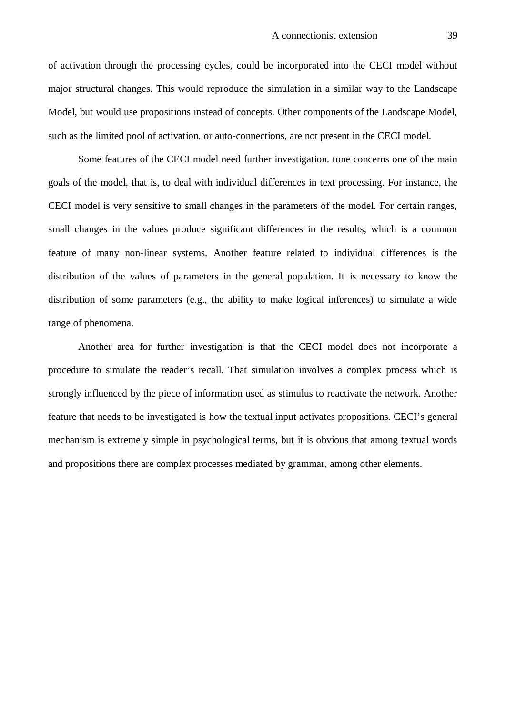of activation through the processing cycles, could be incorporated into the CECI model without major structural changes. This would reproduce the simulation in a similar way to the Landscape Model, but would use propositions instead of concepts. Other components of the Landscape Model, such as the limited pool of activation, or auto-connections, are not present in the CECI model.

Some features of the CECI model need further investigation. tone concerns one of the main goals of the model, that is, to deal with individual differences in text processing. For instance, the CECI model is very sensitive to small changes in the parameters of the model. For certain ranges, small changes in the values produce significant differences in the results, which is a common feature of many non-linear systems. Another feature related to individual differences is the distribution of the values of parameters in the general population. It is necessary to know the distribution of some parameters (e.g., the ability to make logical inferences) to simulate a wide range of phenomena.

Another area for further investigation is that the CECI model does not incorporate a procedure to simulate the reader's recall. That simulation involves a complex process which is strongly influenced by the piece of information used as stimulus to reactivate the network. Another feature that needs to be investigated is how the textual input activates propositions. CECI's general mechanism is extremely simple in psychological terms, but it is obvious that among textual words and propositions there are complex processes mediated by grammar, among other elements.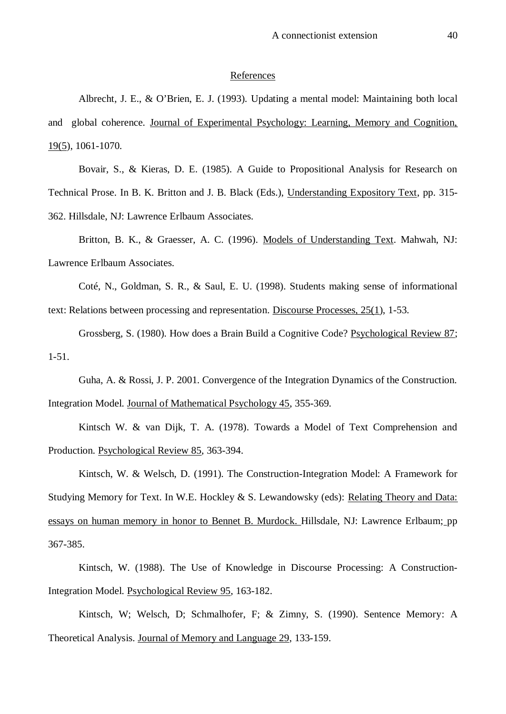#### References

Albrecht, J. E., & O'Brien, E. J. (1993). Updating a mental model: Maintaining both local and global coherence. Journal of Experimental Psychology: Learning, Memory and Cognition, 19(5), 1061-1070.

Bovair, S., & Kieras, D. E. (1985). A Guide to Propositional Analysis for Research on Technical Prose. In B. K. Britton and J. B. Black (Eds.), Understanding Expository Text, pp. 315- 362. Hillsdale, NJ: Lawrence Erlbaum Associates.

Britton, B. K., & Graesser, A. C. (1996). Models of Understanding Text. Mahwah, NJ: Lawrence Erlbaum Associates.

Coté, N., Goldman, S. R., & Saul, E. U. (1998). Students making sense of informational text: Relations between processing and representation. Discourse Processes, 25(1), 1-53.

Grossberg, S. (1980). How does a Brain Build a Cognitive Code? Psychological Review 87; 1-51.

Guha, A. & Rossi, J. P. 2001. Convergence of the Integration Dynamics of the Construction. Integration Model. Journal of Mathematical Psychology 45, 355-369.

Kintsch W. & van Dijk, T. A. (1978). Towards a Model of Text Comprehension and Production. Psychological Review 85, 363-394.

Kintsch, W. & Welsch, D. (1991). The Construction-Integration Model: A Framework for Studying Memory for Text. In W.E. Hockley & S. Lewandowsky (eds): Relating Theory and Data: essays on human memory in honor to Bennet B. Murdock. Hillsdale, NJ: Lawrence Erlbaum; pp 367-385.

Kintsch, W. (1988). The Use of Knowledge in Discourse Processing: A Construction-Integration Model. Psychological Review 95, 163-182.

Kintsch, W; Welsch, D; Schmalhofer, F; & Zimny, S. (1990). Sentence Memory: A Theoretical Analysis. Journal of Memory and Language 29, 133-159.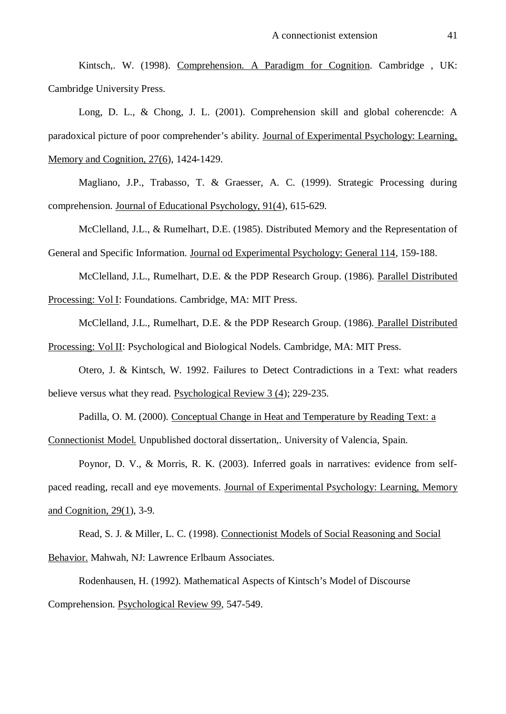Kintsch,. W. (1998). Comprehension. A Paradigm for Cognition. Cambridge , UK: Cambridge University Press.

Long, D. L., & Chong, J. L. (2001). Comprehension skill and global coherencde: A paradoxical picture of poor comprehender's ability. Journal of Experimental Psychology: Learning, Memory and Cognition, 27(6), 1424-1429.

Magliano, J.P., Trabasso, T. & Graesser, A. C. (1999). Strategic Processing during comprehension. Journal of Educational Psychology, 91(4), 615-629.

McClelland, J.L., & Rumelhart, D.E. (1985). Distributed Memory and the Representation of General and Specific Information. Journal od Experimental Psychology: General 114, 159-188.

McClelland, J.L., Rumelhart, D.E. & the PDP Research Group. (1986). Parallel Distributed Processing: Vol I: Foundations. Cambridge, MA: MIT Press.

McClelland, J.L., Rumelhart, D.E. & the PDP Research Group. (1986). Parallel Distributed

Processing: Vol II: Psychological and Biological Nodels. Cambridge, MA: MIT Press.

Otero, J. & Kintsch, W. 1992. Failures to Detect Contradictions in a Text: what readers believe versus what they read. Psychological Review 3 (4); 229-235.

Padilla, O. M. (2000). Conceptual Change in Heat and Temperature by Reading Text: a

Connectionist Model. Unpublished doctoral dissertation,. University of Valencia, Spain.

Poynor, D. V., & Morris, R. K. (2003). Inferred goals in narratives: evidence from selfpaced reading, recall and eye movements. Journal of Experimental Psychology: Learning, Memory and Cognition, 29(1), 3-9.

Read, S. J. & Miller, L. C. (1998). Connectionist Models of Social Reasoning and Social Behavior. Mahwah, NJ: Lawrence Erlbaum Associates.

Rodenhausen, H. (1992). Mathematical Aspects of Kintsch's Model of Discourse Comprehension. Psychological Review 99, 547-549.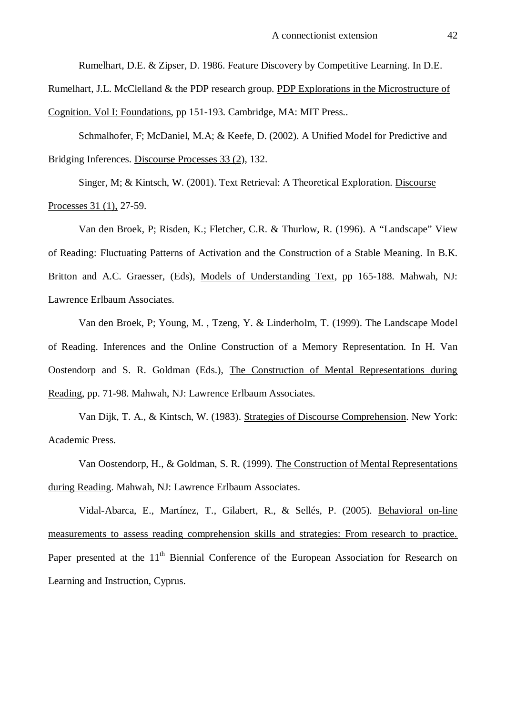Rumelhart, D.E. & Zipser, D. 1986. Feature Discovery by Competitive Learning. In D.E.

Rumelhart, J.L. McClelland & the PDP research group. PDP Explorations in the Microstructure of

Cognition. Vol I: Foundations, pp 151-193. Cambridge, MA: MIT Press..

Schmalhofer, F; McDaniel, M.A; & Keefe, D. (2002). A Unified Model for Predictive and Bridging Inferences. Discourse Processes 33 (2), 132.

Singer, M; & Kintsch, W. (2001). Text Retrieval: A Theoretical Exploration. Discourse Processes 31 (1), 27-59.

Van den Broek, P; Risden, K.; Fletcher, C.R. & Thurlow, R. (1996). A "Landscape" View of Reading: Fluctuating Patterns of Activation and the Construction of a Stable Meaning. In B.K. Britton and A.C. Graesser, (Eds), Models of Understanding Text, pp 165-188. Mahwah, NJ: Lawrence Erlbaum Associates.

Van den Broek, P; Young, M. , Tzeng, Y. & Linderholm, T. (1999). The Landscape Model of Reading. Inferences and the Online Construction of a Memory Representation. In H. Van Oostendorp and S. R. Goldman (Eds.), The Construction of Mental Representations during Reading, pp. 71-98. Mahwah, NJ: Lawrence Erlbaum Associates.

Van Dijk, T. A., & Kintsch, W. (1983). Strategies of Discourse Comprehension. New York: Academic Press.

Van Oostendorp, H., & Goldman, S. R. (1999). The Construction of Mental Representations during Reading. Mahwah, NJ: Lawrence Erlbaum Associates.

Vidal-Abarca, E., Martínez, T., Gilabert, R., & Sellés, P. (2005). Behavioral on-line measurements to assess reading comprehension skills and strategies: From research to practice. Paper presented at the 11<sup>th</sup> Biennial Conference of the European Association for Research on Learning and Instruction, Cyprus.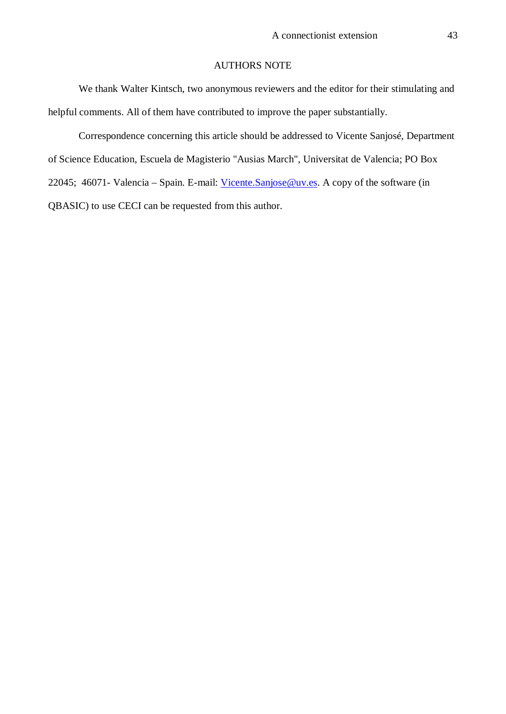# AUTHORS NOTE

We thank Walter Kintsch, two anonymous reviewers and the editor for their stimulating and helpful comments. All of them have contributed to improve the paper substantially.

Correspondence concerning this article should be addressed to Vicente Sanjosé, Department of Science Education, Escuela de Magisterio "Ausias March", Universitat de Valencia; PO Box 22045; 46071- Valencia – Spain. E-mail: Vicente.Sanjose@uv.es. A copy of the software (in QBASIC) to use CECI can be requested from this author.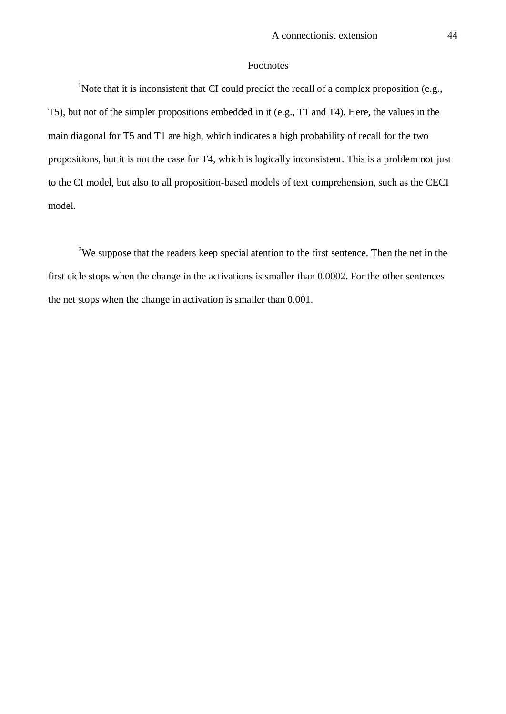# Footnotes

<sup>1</sup>Note that it is inconsistent that CI could predict the recall of a complex proposition (e.g., T5), but not of the simpler propositions embedded in it (e.g., T1 and T4). Here, the values in the main diagonal for T5 and T1 are high, which indicates a high probability of recall for the two propositions, but it is not the case for T4, which is logically inconsistent. This is a problem not just to the CI model, but also to all proposition-based models of text comprehension, such as the CECI model.

<sup>2</sup>We suppose that the readers keep special atention to the first sentence. Then the net in the first cicle stops when the change in the activations is smaller than 0.0002. For the other sentences the net stops when the change in activation is smaller than 0.001.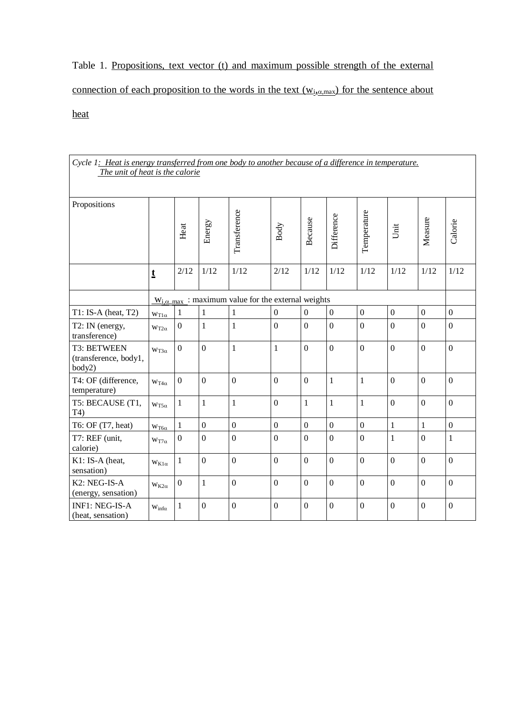Table 1. Propositions, text vector (t) and maximum possible strength of the external connection of each proposition to the words in the text  $(w_{i,\alpha,\text{max}})$  for the sentence about heat

| Cycle 1: Heat is energy transferred from one body to another because of a difference in temperature.<br>The unit of heat is the calorie |                        |                  |                |                                                                    |                  |                  |                |                  |                  |                  |                  |
|-----------------------------------------------------------------------------------------------------------------------------------------|------------------------|------------------|----------------|--------------------------------------------------------------------|------------------|------------------|----------------|------------------|------------------|------------------|------------------|
| Propositions                                                                                                                            |                        | Heat             | Energy         | Transference                                                       | Body             | Because          | Difference     | Temperature      | Unit             | Measure          | Calorie          |
|                                                                                                                                         | $\mathbf t$            | 2/12             | 1/12           | 1/12                                                               | 2/12             | 1/12             | 1/12           | 1/12             | 1/12             | 1/12             | 1/12             |
|                                                                                                                                         |                        |                  |                | $W_{i,\alpha \text{max}}$ : maximum value for the external weights |                  |                  |                |                  |                  |                  |                  |
| $T1$ : IS-A (heat, T2)                                                                                                                  | $w_{T1\alpha}$         | $\mathbf{1}$     | $\mathbf{1}$   | $\mathbf{1}$                                                       | $\mathbf{0}$     | $\overline{0}$   | $\mathbf{0}$   | $\boldsymbol{0}$ | $\boldsymbol{0}$ | $\boldsymbol{0}$ | $\mathbf{0}$     |
| T2: IN (energy,<br>transference)                                                                                                        | $w_{T2\alpha}$         | $\mathbf{0}$     | $\mathbf{1}$   | $\mathbf{1}$                                                       | $\boldsymbol{0}$ | $\mathbf{0}$     | $\overline{0}$ | $\boldsymbol{0}$ | $\overline{0}$   | $\overline{0}$   | $\overline{0}$   |
| <b>T3: BETWEEN</b><br>(transference, body1,<br>body2)                                                                                   | $WT3\alpha$            | $\boldsymbol{0}$ | $\overline{0}$ | $\mathbf{1}$                                                       | $\mathbf{1}$     | $\overline{0}$   | $\overline{0}$ | $\overline{0}$   | $\overline{0}$   | $\overline{0}$   | $\boldsymbol{0}$ |
| T4: OF (difference,<br>temperature)                                                                                                     | $w_{T4\alpha}$         | $\mathbf{0}$     | $\overline{0}$ | $\overline{0}$                                                     | $\overline{0}$   | $\overline{0}$   | $\mathbf{1}$   | $\mathbf{1}$     | $\mathbf{0}$     | $\mathbf{0}$     | $\overline{0}$   |
| T5: BECAUSE (T1,<br>T4)                                                                                                                 | $w_{T5\alpha}$         | $\mathbf{1}$     | $\mathbf{1}$   | $\mathbf{1}$                                                       | $\overline{0}$   | $\mathbf{1}$     | $\mathbf{1}$   | $\mathbf{1}$     | $\overline{0}$   | $\overline{0}$   | $\overline{0}$   |
| T6: OF (T7, heat)                                                                                                                       | $w_{T6\alpha}$         | $\mathbf{1}$     | $\mathbf{0}$   | $\overline{0}$                                                     | $\boldsymbol{0}$ | $\overline{0}$   | $\overline{0}$ | $\overline{0}$   | $\mathbf{1}$     | $\mathbf{1}$     | $\boldsymbol{0}$ |
| T7: REF (unit,<br>calorie)                                                                                                              | $w_{T7\alpha}$         | $\mathbf{0}$     | $\overline{0}$ | $\overline{0}$                                                     | $\overline{0}$   | $\overline{0}$   | $\overline{0}$ | $\overline{0}$   | $\mathbf{1}$     | $\overline{0}$   | $\mathbf{1}$     |
| K1: IS-A (heat,<br>sensation)                                                                                                           | $W_{K1\alpha}$         | $\mathbf{1}$     | $\overline{0}$ | $\overline{0}$                                                     | $\boldsymbol{0}$ | $\boldsymbol{0}$ | $\overline{0}$ | $\boldsymbol{0}$ | $\overline{0}$   | $\boldsymbol{0}$ | $\overline{0}$   |
| K <sub>2</sub> : NEG-IS-A<br>(energy, sensation)                                                                                        | $w_{K2\alpha}$         | $\overline{0}$   | $\mathbf{1}$   | $\overline{0}$                                                     | $\overline{0}$   | $\overline{0}$   | $\overline{0}$ | $\overline{0}$   | $\overline{0}$   | $\overline{0}$   | $\overline{0}$   |
| <b>INF1: NEG-IS-A</b><br>(heat, sensation)                                                                                              | $W_{\text{inf}\alpha}$ | $\mathbf{1}$     | $\overline{0}$ | $\overline{0}$                                                     | $\mathbf{0}$     | $\overline{0}$   | $\overline{0}$ | $\overline{0}$   | $\overline{0}$   | $\overline{0}$   | $\overline{0}$   |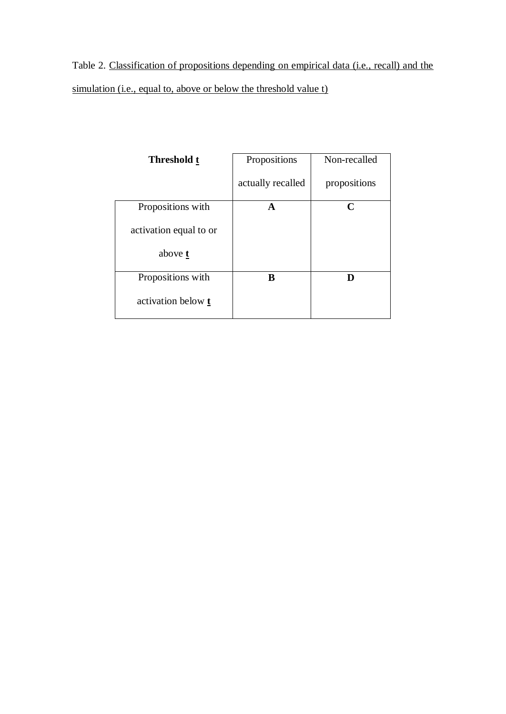Table 2. Classification of propositions depending on empirical data (i.e., recall) and the simulation (i.e., equal to, above or below the threshold value t)

| <b>Threshold t</b>        | Propositions      | Non-recalled |
|---------------------------|-------------------|--------------|
|                           | actually recalled | propositions |
| Propositions with         | A                 | C            |
| activation equal to or    |                   |              |
| above t                   |                   |              |
| Propositions with         | В                 | D            |
| activation below <b>t</b> |                   |              |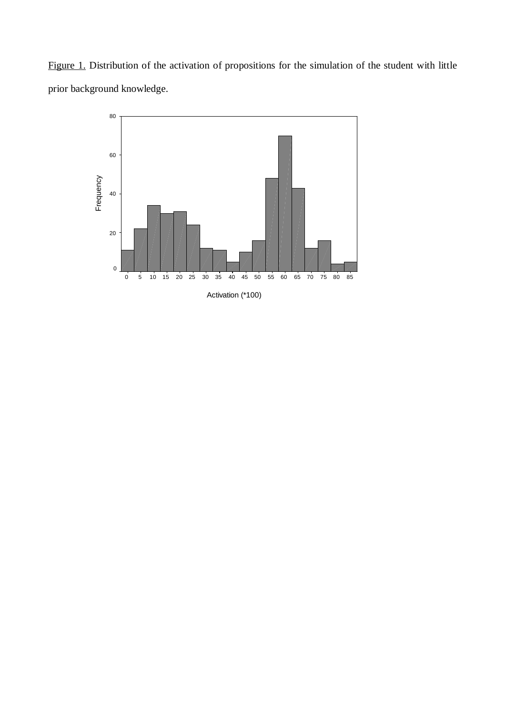Figure 1. Distribution of the activation of propositions for the simulation of the student with little prior background knowledge.

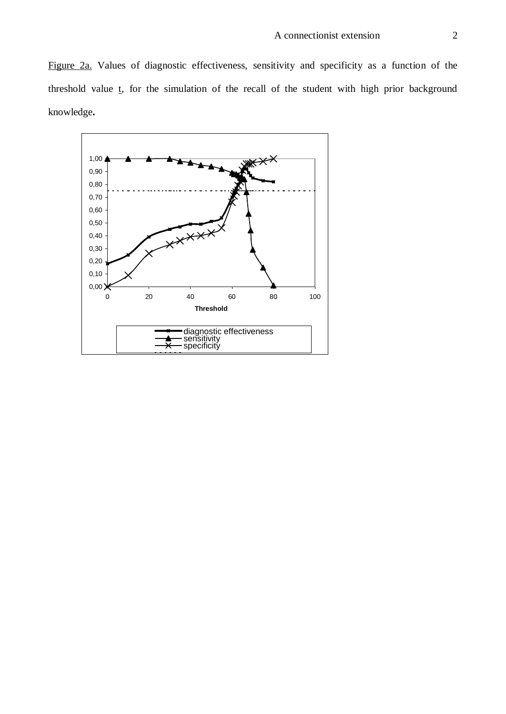Figure 2a. Values of diagnostic effectiveness, sensitivity and specificity as a function of the threshold value  $t$ , for the simulation of the recall of the student with high prior background knowledge**.**

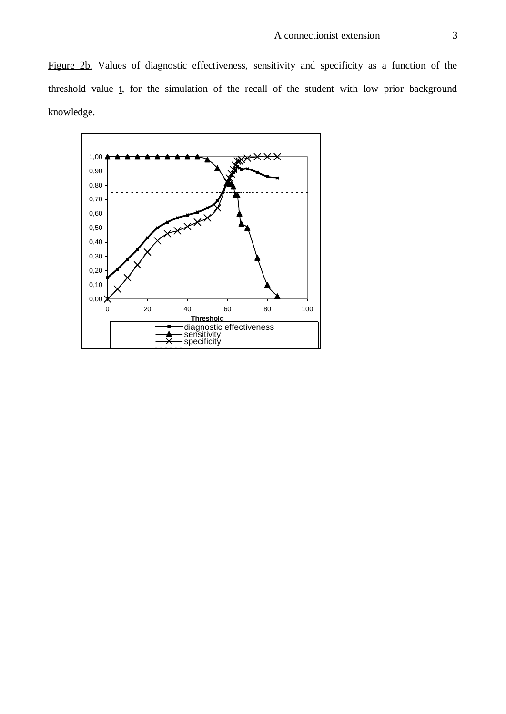Figure 2b. Values of diagnostic effectiveness, sensitivity and specificity as a function of the threshold value  $t$ , for the simulation of the recall of the student with low prior background knowledge.

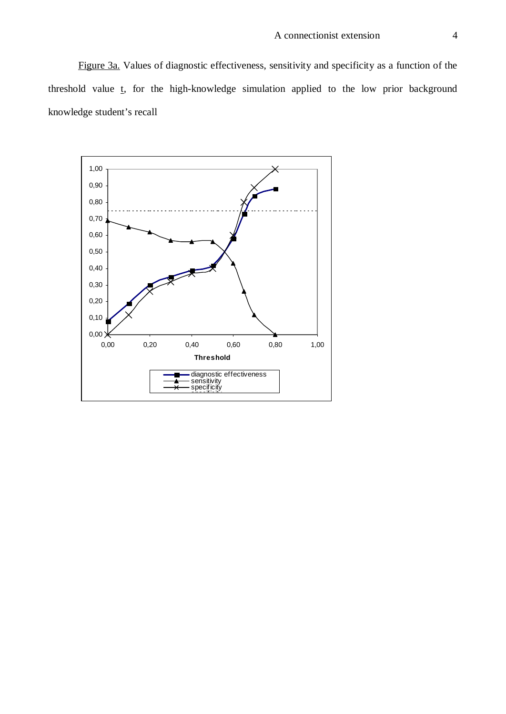Figure 3a. Values of diagnostic effectiveness, sensitivity and specificity as a function of the threshold value t, for the high-knowledge simulation applied to the low prior background knowledge student's recall

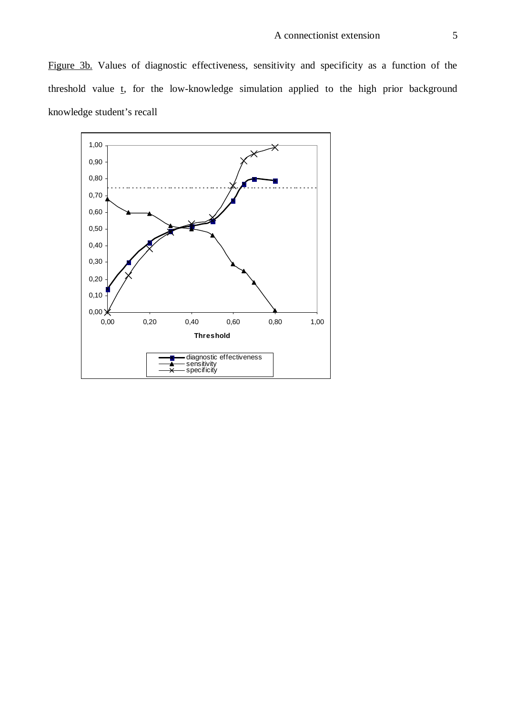Figure 3b. Values of diagnostic effectiveness, sensitivity and specificity as a function of the threshold value t, for the low-knowledge simulation applied to the high prior background knowledge student's recall

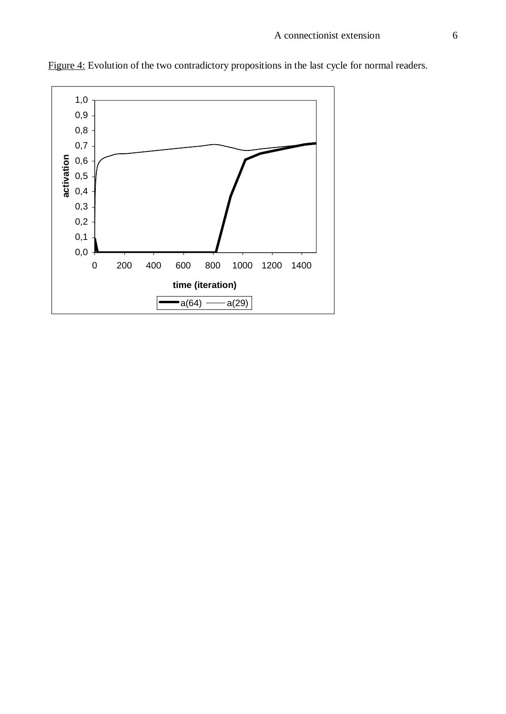

Figure 4: Evolution of the two contradictory propositions in the last cycle for normal readers.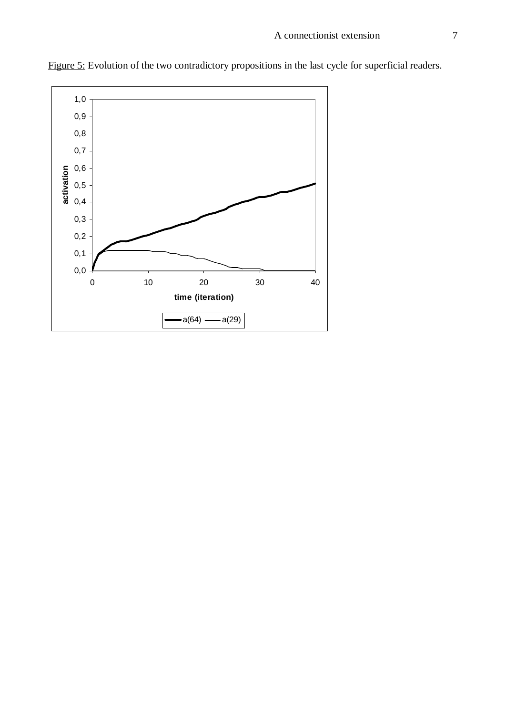

Figure 5: Evolution of the two contradictory propositions in the last cycle for superficial readers.